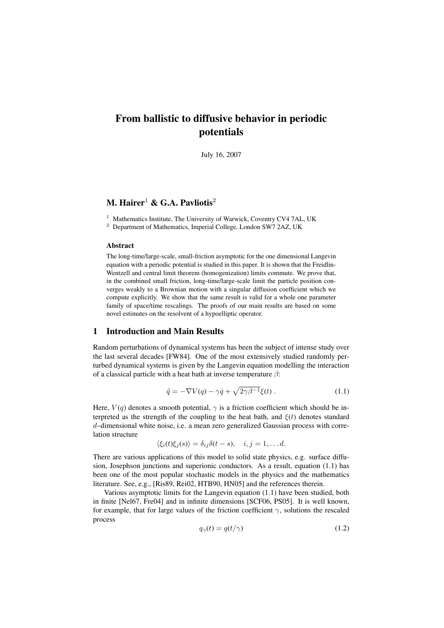# From ballistic to diffusive behavior in periodic potentials

July 16, 2007

## M. Hairer<sup>1</sup> & G.A. Pavliotis<sup>2</sup>

<sup>1</sup> Mathematics Institute, The University of Warwick, Coventry CV4 7AL, UK

<sup>2</sup> Department of Mathematics, Imperial College, London SW7 2AZ, UK

## Abstract

The long-time/large-scale, small-friction asymptotic for the one dimensional Langevin equation with a periodic potential is studied in this paper. It is shown that the Freidlin-Wentzell and central limit theorem (homogenization) limits commute. We prove that, in the combined small friction, long-time/large-scale limit the particle position converges weakly to a Brownian motion with a singular diffusion coefficient which we compute explicitly. We show that the same result is valid for a whole one parameter family of space/time rescalings. The proofs of our main results are based on some novel estimates on the resolvent of a hypoelliptic operator.

## 1 Introduction and Main Results

Random perturbations of dynamical systems has been the subject of intense study over the last several decades [FW84]. One of the most extensively studied randomly perturbed dynamical systems is given by the Langevin equation modelling the interaction of a classical particle with a heat bath at inverse temperature  $\beta$ :

$$
\ddot{q} = -\nabla V(q) - \gamma \dot{q} + \sqrt{2\gamma \beta^{-1}} \xi(t) \,. \tag{1.1}
$$

Here,  $V(q)$  denotes a smooth potential,  $\gamma$  is a friction coefficient which should be interpreted as the strength of the coupling to the heat bath, and  $\xi(t)$  denotes standard d–dimensional white noise, i.e. a mean zero generalized Gaussian process with correlation structure

 $\langle \xi_i(t)\xi_j(s)\rangle = \delta_{ij}\delta(t-s), \quad i,j = 1, \ldots d.$ 

There are various applications of this model to solid state physics, e.g. surface diffusion, Josephson junctions and superionic conductors. As a result, equation (1.1) has been one of the most popular stochastic models in the physics and the mathematics literature. See, e.g., [Ris89, Rei02, HTB90, HN05] and the references therein.

Various asymptotic limits for the Langevin equation (1.1) have been studied, both in finite [Nel67, Fre04] and in infinite dimensions [SCF06, PS05]. It is well known, for example, that for large values of the friction coefficient  $\gamma$ , solutions the rescaled process

$$
q_{\gamma}(t) = q(t/\gamma) \tag{1.2}
$$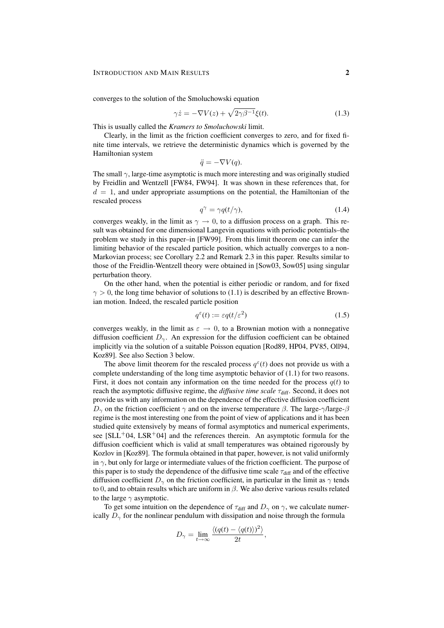converges to the solution of the Smoluchowski equation

$$
\gamma \dot{z} = -\nabla V(z) + \sqrt{2\gamma \beta^{-1}} \xi(t). \tag{1.3}
$$

This is usually called the *Kramers to Smoluchowski* limit.

Clearly, in the limit as the friction coefficient converges to zero, and for fixed finite time intervals, we retrieve the deterministic dynamics which is governed by the Hamiltonian system

$$
\ddot{q} = -\nabla V(q).
$$

The small  $\gamma$ , large-time asymptotic is much more interesting and was originally studied by Freidlin and Wentzell [FW84, FW94]. It was shown in these references that, for  $d = 1$ , and under appropriate assumptions on the potential, the Hamiltonian of the rescaled process

$$
q^{\gamma} = \gamma q(t/\gamma), \tag{1.4}
$$

converges weakly, in the limit as  $\gamma \to 0$ , to a diffusion process on a graph. This result was obtained for one dimensional Langevin equations with periodic potentials–the problem we study in this paper–in [FW99]. From this limit theorem one can infer the limiting behavior of the rescaled particle position, which actually converges to a non-Markovian process; see Corollary 2.2 and Remark 2.3 in this paper. Results similar to those of the Freidlin-Wentzell theory were obtained in [Sow03, Sow05] using singular perturbation theory.

On the other hand, when the potential is either periodic or random, and for fixed  $\gamma > 0$ , the long time behavior of solutions to (1.1) is described by an effective Brownian motion. Indeed, the rescaled particle position

$$
q^{\varepsilon}(t) := \varepsilon q(t/\varepsilon^2)
$$
\n(1.5)

converges weakly, in the limit as  $\varepsilon \to 0$ , to a Brownian motion with a nonnegative diffusion coefficient  $D_{\gamma}$ . An expression for the diffusion coefficient can be obtained implicitly via the solution of a suitable Poisson equation [Rod89, HP04, PV85, Oll94, Koz89]. See also Section 3 below.

The above limit theorem for the rescaled process  $q^{\epsilon}(t)$  does not provide us with a complete understanding of the long time asymptotic behavior of (1.1) for two reasons. First, it does not contain any information on the time needed for the process  $q(t)$  to reach the asymptotic diffusive regime, the *diffusive time scale* τ<sub>diff</sub>. Second, it does not provide us with any information on the dependence of the effective diffusion coefficient  $D_{\gamma}$  on the friction coefficient  $\gamma$  and on the inverse temperature  $\beta$ . The large- $\gamma$ /large- $\beta$ regime is the most interesting one from the point of view of applications and it has been studied quite extensively by means of formal asymptotics and numerical experiments, see  $[SLL^{+}04, LSR^{+}04]$  and the references therein. An asymptotic formula for the diffusion coefficient which is valid at small temperatures was obtained rigorously by Kozlov in [Koz89]. The formula obtained in that paper, however, is not valid uniformly in  $\gamma$ , but only for large or intermediate values of the friction coefficient. The purpose of this paper is to study the dependence of the diffusive time scale  $\tau_{\text{diff}}$  and of the effective diffusion coefficient  $D_{\gamma}$  on the friction coefficient, in particular in the limit as  $\gamma$  tends to 0, and to obtain results which are uniform in  $\beta$ . We also derive various results related to the large  $\gamma$  asymptotic.

To get some intuition on the dependence of  $\tau_{\text{diff}}$  and  $D_{\gamma}$  on  $\gamma$ , we calculate numerically  $D_{\gamma}$  for the nonlinear pendulum with dissipation and noise through the formula

$$
D_{\gamma} = \lim_{t \to \infty} \frac{\langle (q(t) - \langle q(t) \rangle)^2 \rangle}{2t},
$$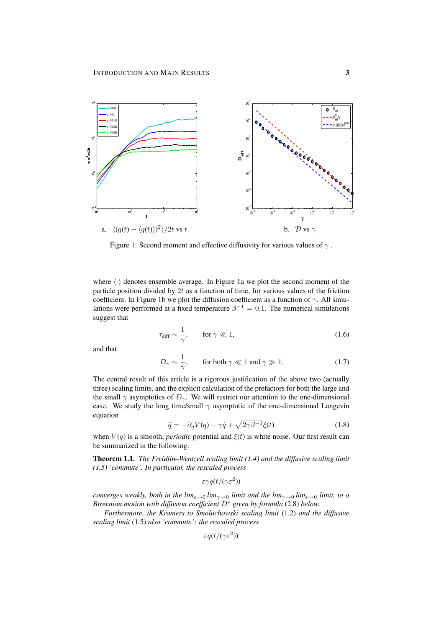

Figure 1: Second moment and effective diffusivity for various values of  $\gamma$ .

where  $\langle \cdot \rangle$  denotes ensemble average. In Figure 1a we plot the second moment of the particle position divided by 2t as a function of time, for various values of the friction coefficient. In Figure 1b we plot the diffusion coefficient as a function of  $\gamma$ . All simulations were performed at a fixed temperature  $\beta^{-1} = 0.1$ . The numerical simulations suggest that

$$
\tau_{\text{diff}} \sim \frac{1}{\gamma}, \qquad \text{for } \gamma \ll 1,
$$
\n(1.6)

and that

$$
D_{\gamma} \sim \frac{1}{\gamma}, \qquad \text{for both } \gamma \ll 1 \text{ and } \gamma \gg 1. \tag{1.7}
$$

The central result of this article is a rigorous justification of the above two (actually three) scaling limits, and the explicit calculation of the prefactors for both the large and the small  $\gamma$  asymptotics of  $D_{\gamma}$ . We will restrict our attention to the one-dimensional case. We study the long time/small  $\gamma$  asymptotic of the one-dimensional Langevin equation

$$
\ddot{q} = -\partial_q V(q) - \gamma \dot{q} + \sqrt{2\gamma \beta^{-1}} \xi(t) \tag{1.8}
$$

when  $V(q)$  is a smooth, *periodic* potential and  $\xi(t)$  is white noise. Our first result can be summarized in the following.

Theorem 1.1. *The Freidlin–Wentzell scaling limit (1.4) and the diffusive scaling limit (1.5) 'commute'. In particular, the rescaled process*

$$
\varepsilon \gamma q(t/(\gamma \varepsilon^2))
$$

*converges weakly, both in the*  $\lim_{\epsilon \to 0} \lim_{\gamma \to 0}$  *limit and the*  $\lim_{\gamma \to 0} \lim_{\epsilon \to 0} \lim_{\epsilon \to 0}$ *Brownian motion with diffusion coefficient* D<sup>∗</sup> *given by formula* (2.8) *below.*

*Furthermore, the Kramers to Smoluchowski scaling limit* (1.2) *and the diffusive scaling limit* (1.5) *also 'commute': the rescaled process*

$$
\varepsilon q(t/(\gamma\varepsilon^2))
$$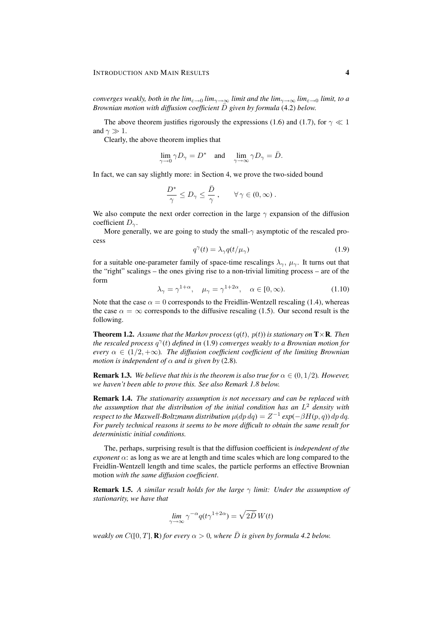*converges weakly, both in the*  $\lim_{\epsilon \to 0} \lim_{\gamma \to \infty}$  *limit and the*  $\lim_{\gamma \to \infty} \lim_{\epsilon \to 0} \lim_{\epsilon \to 0}$ *Brownian motion with diffusion coefficient*  $\overline{D}$  *given by formula* (4.2) *below.* 

The above theorem justifies rigorously the expressions (1.6) and (1.7), for  $\gamma \ll 1$ and  $\gamma \gg 1$ .

Clearly, the above theorem implies that

$$
\lim_{\gamma \to 0} \gamma D_{\gamma} = D^* \quad \text{and} \quad \lim_{\gamma \to \infty} \gamma D_{\gamma} = \bar{D}.
$$

In fact, we can say slightly more: in Section 4, we prove the two-sided bound

$$
\frac{D^*}{\gamma} \le D_{\gamma} \le \frac{\bar{D}}{\gamma} , \qquad \forall \, \gamma \in (0, \infty) .
$$

We also compute the next order correction in the large  $\gamma$  expansion of the diffusion coefficient  $D_{\gamma}$ .

More generally, we are going to study the small- $\gamma$  asymptotic of the rescaled process

$$
q^{\gamma}(t) = \lambda_{\gamma} q(t/\mu_{\gamma})
$$
\n(1.9)

for a suitable one-parameter family of space-time rescalings  $\lambda_{\gamma}$ ,  $\mu_{\gamma}$ . It turns out that the "right" scalings – the ones giving rise to a non-trivial limiting process – are of the form

$$
\lambda_{\gamma} = \gamma^{1+\alpha}, \quad \mu_{\gamma} = \gamma^{1+2\alpha}, \quad \alpha \in [0, \infty). \tag{1.10}
$$

Note that the case  $\alpha = 0$  corresponds to the Freidlin-Wentzell rescaling (1.4), whereas the case  $\alpha = \infty$  corresponds to the diffusive rescaling (1.5). Our second result is the following.

**Theorem 1.2.** Assume that the Markov process  $(q(t), p(t))$  is stationary on  $T \times \mathbf{R}$ . Then *the rescaled process* q γ (t) *defined in* (1.9) *converges weakly to a Brownian motion for every*  $\alpha \in (1/2, +\infty)$ *. The diffusion coefficient coefficient of the limiting Brownian motion is independent of*  $\alpha$  *and is given by* (2.8).

**Remark 1.3.** *We believe that this is the theorem is also true for*  $\alpha \in (0, 1/2)$ *. However, we haven't been able to prove this. See also Remark 1.8 below.*

Remark 1.4. *The stationarity assumption is not necessary and can be replaced with the assumption that the distribution of the initial condition has an* L <sup>2</sup> *density with respect to the Maxwell-Boltzmann distribution*  $\mu(dp\,dq) = Z^{-1}\exp(-\beta H(p,q))\,dp\,dq.$ *For purely technical reasons it seems to be more difficult to obtain the same result for deterministic initial conditions.*

The, perhaps, surprising result is that the diffusion coefficient is *independent of the exponent*  $\alpha$ : as long as we are at length and time scales which are long compared to the Freidlin-Wentzell length and time scales, the particle performs an effective Brownian motion *with the same diffusion coefficient*.

**Remark 1.5.** A similar result holds for the large  $\gamma$  limit: Under the assumption of *stationarity, we have that*

$$
\lim_{\gamma \to \infty} \gamma^{-\alpha} q(t \gamma^{1+2\alpha}) = \sqrt{2\bar{D}} W(t)
$$

*weakly on*  $C([0, T], \mathbf{R})$  *for every*  $\alpha > 0$ *, where*  $\overline{D}$  *is given by formula 4.2 below.*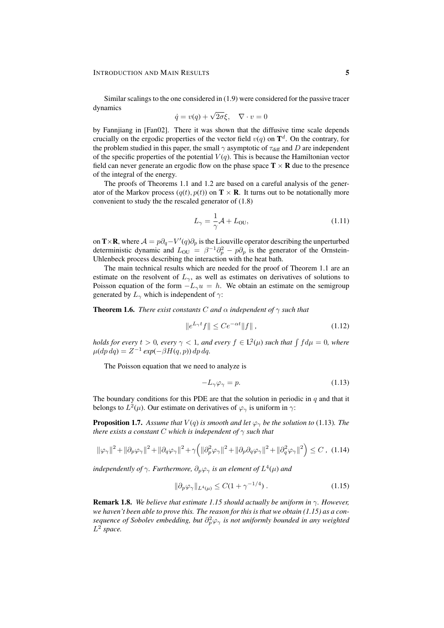Similar scalings to the one considered in (1.9) were considered for the passive tracer dynamics √

$$
\dot{q} = v(q) + \sqrt{2\sigma}\xi, \quad \nabla \cdot v = 0
$$

by Fannjiang in [Fan02]. There it was shown that the diffusive time scale depends crucially on the ergodic properties of the vector field  $v(q)$  on  $\mathbf{T}^d$ . On the contrary, for the problem studied in this paper, the small  $\gamma$  asymptotic of  $\tau_{\text{diff}}$  and D are independent of the specific properties of the potential  $V(q)$ . This is because the Hamiltonian vector field can never generate an ergodic flow on the phase space  $T \times R$  due to the presence of the integral of the energy.

The proofs of Theorems 1.1 and 1.2 are based on a careful analysis of the generator of the Markov process  $(q(t), p(t))$  on  $\mathbf{T} \times \mathbf{R}$ . It turns out to be notationally more convenient to study the the rescaled generator of (1.8)

$$
L_{\gamma} = \frac{1}{\gamma} \mathcal{A} + L_{\text{OU}},\tag{1.11}
$$

on **T** × **R**, where  $A = p\partial_q - V'(q)\partial_p$  is the Liouville operator describing the unperturbed deterministic dynamic and  $L_{\text{OU}} = \beta^{-1} \partial_p^2 - p \partial_p$  is the generator of the Ornstein-Uhlenbeck process describing the interaction with the heat bath.

The main technical results which are needed for the proof of Theorem 1.1 are an estimate on the resolvent of  $L_{\gamma}$ , as well as estimates on derivatives of solutions to Poisson equation of the form  $-L_{\gamma}u = h$ . We obtain an estimate on the semigroup generated by  $L_{\gamma}$  which is independent of  $\gamma$ :

**Theorem 1.6.** *There exist constants* C *and*  $\alpha$  *independent* of  $\gamma$  *such that* 

$$
||e^{L_{\gamma}t}f|| \le Ce^{-\alpha t}||f||,
$$
\n(1.12)

*holds for every*  $t > 0$ , every  $\gamma < 1$ , and every  $f \in L^2(\mu)$  such that  $\int f d\mu = 0$ , where  $\mu(dp\,dq) = Z^{-1}\exp(-\beta H(q,p))\,dp\,dq.$ 

The Poisson equation that we need to analyze is

$$
-L_{\gamma}\varphi_{\gamma} = p. \tag{1.13}
$$

The boundary conditions for this PDE are that the solution in periodic in  $q$  and that it belongs to  $L^2(\mu)$ . Our estimate on derivatives of  $\varphi_{\gamma}$  is uniform in  $\gamma$ :

**Proposition 1.7.** Assume that  $V(q)$  is smooth and let  $\varphi_{\gamma}$  be the solution to (1.13). The *there exists a constant* C *which is independent of* γ *such that*

$$
\|\varphi_{\gamma}\|^{2} + \|\partial_{p}\varphi_{\gamma}\|^{2} + \|\partial_{q}\varphi_{\gamma}\|^{2} + \gamma \left(\|\partial_{p}^{2}\varphi_{\gamma}\|^{2} + \|\partial_{p}\partial_{q}\varphi_{\gamma}\|^{2} + \|\partial_{q}^{2}\varphi_{\gamma}\|^{2}\right) \leq C \,, (1.14)
$$

independently of  $\gamma$ *. Furthermore,*  $\partial_p \varphi_\gamma$  *is an element of*  $L^4(\mu)$  and

$$
\|\partial_p \varphi_\gamma\|_{L^4(\mu)} \le C(1 + \gamma^{-1/4})\,. \tag{1.15}
$$

Remark 1.8. *We believe that estimate 1.15 should actually be uniform in* γ*. However, we haven't been able to prove this. The reason for this is that we obtain (1.15) as a con*sequence of Sobolev embedding, but  $\partial_p^2 \varphi_\gamma$  is not uniformly bounded in any weighted L 2 *space.*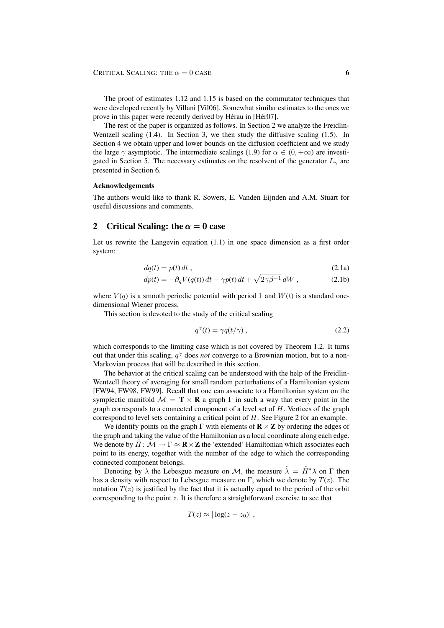The proof of estimates 1.12 and 1.15 is based on the commutator techniques that were developed recently by Villani [Vil06]. Somewhat similar estimates to the ones we prove in this paper were recently derived by Hérau in [Hér07].

The rest of the paper is organized as follows. In Section 2 we analyze the Freidlin-Wentzell scaling (1.4). In Section 3, we then study the diffusive scaling (1.5). In Section 4 we obtain upper and lower bounds on the diffusion coefficient and we study the large  $\gamma$  asymptotic. The intermediate scalings (1.9) for  $\alpha \in (0, +\infty)$  are investigated in Section 5. The necessary estimates on the resolvent of the generator  $L_{\gamma}$  are presented in Section 6.

#### Acknowledgements

The authors would like to thank R. Sowers, E. Vanden Eijnden and A.M. Stuart for useful discussions and comments.

## 2 Critical Scaling: the  $\alpha = 0$  case

Let us rewrite the Langevin equation (1.1) in one space dimension as a first order system:

$$
dq(t) = p(t) dt , \t\t(2.1a)
$$

$$
dp(t) = -\partial_q V(q(t)) dt - \gamma p(t) dt + \sqrt{2\gamma \beta^{-1}} dW , \qquad (2.1b)
$$

where  $V(q)$  is a smooth periodic potential with period 1 and  $W(t)$  is a standard onedimensional Wiener process.

This section is devoted to the study of the critical scaling

$$
q^{\gamma}(t) = \gamma q(t/\gamma) , \qquad (2.2)
$$

which corresponds to the limiting case which is not covered by Theorem 1.2. It turns out that under this scaling,  $q^{\gamma}$  does *not* converge to a Brownian motion, but to a non-Markovian process that will be described in this section.

The behavior at the critical scaling can be understood with the help of the Freidlin-Wentzell theory of averaging for small random perturbations of a Hamiltonian system [FW94, FW98, FW99]. Recall that one can associate to a Hamiltonian system on the symplectic manifold  $\mathcal{M} = \mathbf{T} \times \mathbf{R}$  a graph  $\Gamma$  in such a way that every point in the graph corresponds to a connected component of a level set of  $H$ . Vertices of the graph correspond to level sets containing a critical point of H. See Figure 2 for an example.

We identify points on the graph  $\Gamma$  with elements of  $\mathbf{R} \times \mathbf{Z}$  by ordering the edges of the graph and taking the value of the Hamiltonian as a local coordinate along each edge. We denote by  $\tilde{H}: \mathcal{M} \to \Gamma \approx \mathbf{R} \times \mathbf{Z}$  the 'extended' Hamiltonian which associates each point to its energy, together with the number of the edge to which the corresponding connected component belongs.

Denoting by  $\lambda$  the Lebesgue measure on M, the measure  $\tilde{\lambda} = \tilde{H}^* \lambda$  on  $\Gamma$  then has a density with respect to Lebesgue measure on Γ, which we denote by  $T(z)$ . The notation  $T(z)$  is justified by the fact that it is actually equal to the period of the orbit corresponding to the point z. It is therefore a straightforward exercise to see that

$$
T(z) \approx |\log(z-z_0)|,
$$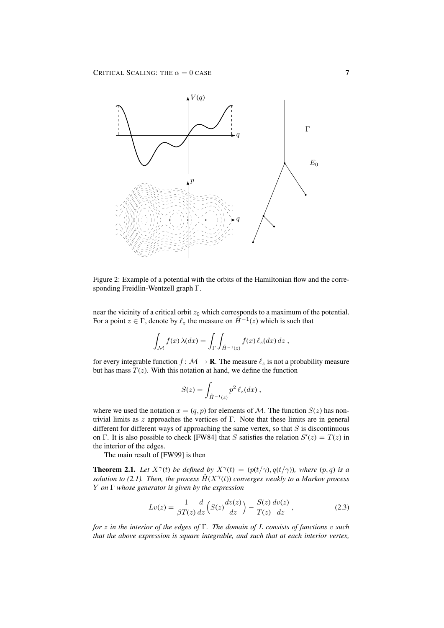

Figure 2: Example of a potential with the orbits of the Hamiltonian flow and the corresponding Freidlin-Wentzell graph Γ.

near the vicinity of a critical orbit  $z_0$  which corresponds to a maximum of the potential. For a point  $z \in \Gamma$ , denote by  $\ell_z$  the measure on  $\tilde{H}^{-1}(z)$  which is such that

$$
\int_{\mathcal{M}} f(x) \,\lambda(dx) = \int_{\Gamma} \int_{\tilde{H}^{-1}(z)} f(x) \,\ell_z(dx) \, dz \;,
$$

for every integrable function  $f : \mathcal{M} \to \mathbf{R}$ . The measure  $\ell_z$  is not a probability measure but has mass  $T(z)$ . With this notation at hand, we define the function

$$
S(z) = \int_{\tilde{H}^{-1}(z)} p^2 \ell_z(dx) ,
$$

where we used the notation  $x = (q, p)$  for elements of M. The function  $S(z)$  has nontrivial limits as  $z$  approaches the vertices of Γ. Note that these limits are in general different for different ways of approaching the same vertex, so that  $S$  is discontinuous on Γ. It is also possible to check [FW84] that S satisfies the relation  $S'(z) = T(z)$  in the interior of the edges.

The main result of [FW99] is then

**Theorem 2.1.** Let  $X^{\gamma}(t)$  be defined by  $X^{\gamma}(t) = (p(t/\gamma), q(t/\gamma))$ , where  $(p, q)$  is a solution to (2.1). Then, the process  $\tilde{H}(X^{\gamma}(t))$  converges weakly to a Markov process Y *on* Γ *whose generator is given by the expression*

$$
Lv(z) = \frac{1}{\beta T(z)} \frac{d}{dz} \left( S(z) \frac{dv(z)}{dz} \right) - \frac{S(z)}{T(z)} \frac{dv(z)}{dz}, \qquad (2.3)
$$

*for* z *in the interior of the edges of* Γ*. The domain of* L *consists of functions* v *such that the above expression is square integrable, and such that at each interior vertex,*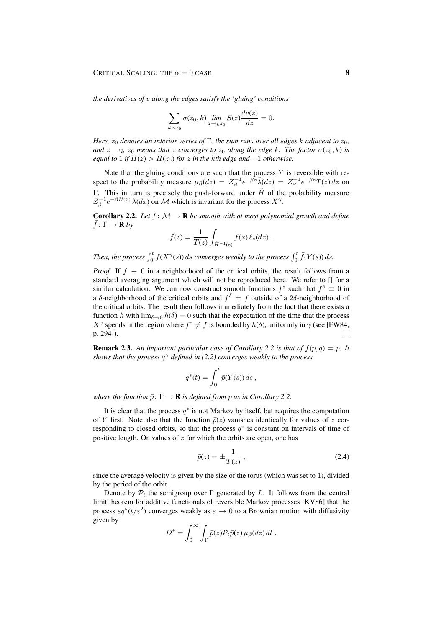*the derivatives of* v *along the edges satisfy the 'gluing' conditions*

$$
\sum_{k \sim z_0} \sigma(z_0, k) \lim_{z \to k z_0} S(z) \frac{dv(z)}{dz} = 0.
$$

*Here,*  $z_0$  *denotes an interior vertex of*  $\Gamma$ *, the sum runs over all edges k adjacent to*  $z_0$ *, and*  $z \rightarrow_k z_0$  *means that* z *converges to*  $z_0$  *along the edge* k*. The factor*  $\sigma(z_0, k)$  *is equal to* 1 *if*  $H(z) > H(z_0)$  *for* z *in the kth edge and*  $-1$  *otherwise.* 

Note that the gluing conditions are such that the process  $Y$  is reversible with respect to the probability measure  $\mu_{\beta}(dz) = Z_{\beta}^{-1} e^{-\beta z} \tilde{\lambda}(dz) = Z_{\beta}^{-1} e^{-\beta z} T(z) dz$  on Γ. This in turn is precisely the push-forward under  $\tilde{H}$  of the probability measure  $Z^{-1}_{\beta}e^{-\beta H(x)} \lambda(dx)$  on M which is invariant for the process  $X^{\gamma}$ .

**Corollary 2.2.** Let  $f: M \to \mathbf{R}$  be smooth with at most polynomial growth and define  $\bar{f}: \Gamma \to \mathbf{R}$  by

$$
\bar{f}(z) = \frac{1}{T(z)} \int_{\tilde{H}^{-1}(z)} f(x) \,\ell_z(dx) \,.
$$

Then, the process  $\int_0^t f(X^{\gamma}(s)) ds$  converges weakly to the process  $\int_0^t \bar{f}(Y(s)) ds$ .

*Proof.* If  $f \equiv 0$  in a neighborhood of the critical orbits, the result follows from a standard averaging argument which will not be reproduced here. We refer to [] for a similar calculation. We can now construct smooth functions  $f^{\delta}$  such that  $f^{\delta} \equiv 0$  in a  $\delta$ -neighborhood of the critical orbits and  $f^{\delta} = f$  outside of a 2 $\delta$ -neighborhood of the critical orbits. The result then follows immediately from the fact that there exists a function h with  $\lim_{\delta \to 0} h(\delta) = 0$  such that the expectation of the time that the process  $X^{\gamma}$  spends in the region where  $f^{\varepsilon} \neq f$  is bounded by  $h(\delta)$ , uniformly in  $\gamma$  (see [FW84, p. 294]).  $\Box$ 

**Remark 2.3.** An important particular case of Corollary 2.2 is that of  $f(p,q) = p$ . It *shows that the process* q <sup>γ</sup> *defined in (2.2) converges weakly to the process*

$$
q^*(t) = \int_0^t \bar{p}(Y(s)) ds,
$$

*where the function*  $\bar{p}: \Gamma \to \mathbf{R}$  *is defined from p as in Corollary 2.2.* 

It is clear that the process  $q^*$  is not Markov by itself, but requires the computation of Y first. Note also that the function  $\bar{p}(z)$  vanishes identically for values of z corresponding to closed orbits, so that the process  $q^*$  is constant on intervals of time of positive length. On values of  $z$  for which the orbits are open, one has

$$
\bar{p}(z) = \pm \frac{1}{T(z)},\tag{2.4}
$$

since the average velocity is given by the size of the torus (which was set to 1), divided by the period of the orbit.

Denote by  $\mathcal{P}_t$  the semigroup over  $\Gamma$  generated by L. It follows from the central limit theorem for additive functionals of reversible Markov processes [KV86] that the process  $\varepsilon q^*(t/\varepsilon^2)$  converges weakly as  $\varepsilon \to 0$  to a Brownian motion with diffusivity given by

$$
D^* = \int_0^\infty \int_\Gamma \bar{p}(z) \mathcal{P}_t \bar{p}(z) \,\mu_\beta(dz) \,dt \;.
$$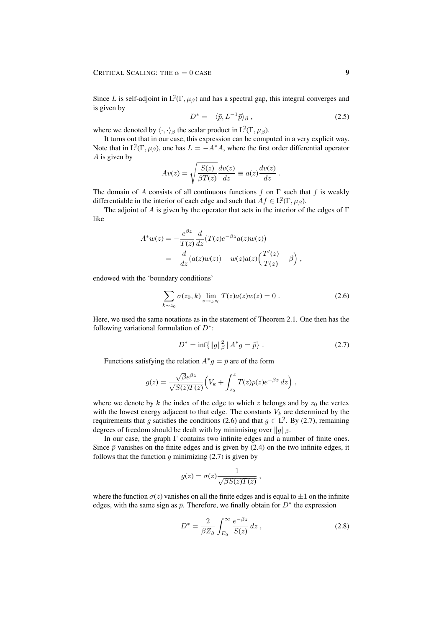Since L is self-adjoint in  $L^2(\Gamma, \mu_\beta)$  and has a spectral gap, this integral converges and is given by

$$
D^* = -\langle \bar{p}, L^{-1}\bar{p} \rangle_{\beta} , \qquad (2.5)
$$

where we denoted by  $\langle \cdot, \cdot \rangle_{\beta}$  the scalar product in  $L^2(\Gamma, \mu_{\beta})$ .

It turns out that in our case, this expression can be computed in a very explicit way. Note that in  $L^2(\Gamma, \mu_\beta)$ , one has  $L = -A^*A$ , where the first order differential operator A is given by

$$
Av(z) = \sqrt{\frac{S(z)}{\beta T(z)}} \frac{dv(z)}{dz} \equiv a(z) \frac{dv(z)}{dz} .
$$

The domain of A consists of all continuous functions f on  $\Gamma$  such that f is weakly differentiable in the interior of each edge and such that  $Af \in L^2(\Gamma, \mu_\beta)$ .

The adjoint of A is given by the operator that acts in the interior of the edges of  $\Gamma$ like

$$
A^*w(z) = -\frac{e^{\beta z}}{T(z)}\frac{d}{dz}(T(z)e^{-\beta z}a(z)w(z))
$$
  
= 
$$
-\frac{d}{dz}(a(z)w(z)) - w(z)a(z)\left(\frac{T'(z)}{T(z)} - \beta\right),
$$

endowed with the 'boundary conditions'

$$
\sum_{k \sim z_0} \sigma(z_0, k) \lim_{z \to k z_0} T(z) a(z) w(z) = 0.
$$
 (2.6)

Here, we used the same notations as in the statement of Theorem 2.1. One then has the following variational formulation of  $D^*$ :

$$
D^* = \inf \{ \|g\|_{\beta}^2 \mid A^* g = \bar{p} \} . \tag{2.7}
$$

Functions satisfying the relation  $A^*g = \bar{p}$  are of the form

$$
g(z) = \frac{\sqrt{\beta}e^{\beta z}}{\sqrt{S(z)T(z)}} \Big(V_k + \int_{z_0}^z T(z)\bar{p}(z)e^{-\beta z} dz\Big) ,
$$

where we denote by k the index of the edge to which z belongs and by  $z_0$  the vertex with the lowest energy adjacent to that edge. The constants  $V_k$  are determined by the requirements that g satisfies the conditions (2.6) and that  $g \in L^2$ . By (2.7), remaining degrees of freedom should be dealt with by minimising over  $||g||_{\beta}$ .

In our case, the graph Γ contains two infinite edges and a number of finite ones. Since  $\bar{p}$  vanishes on the finite edges and is given by (2.4) on the two infinite edges, it follows that the function  $g$  minimizing (2.7) is given by

$$
g(z) = \sigma(z) \frac{1}{\sqrt{\beta S(z)T(z)}} ,
$$

where the function  $\sigma(z)$  vanishes on all the finite edges and is equal to  $\pm 1$  on the infinite edges, with the same sign as  $\bar{p}$ . Therefore, we finally obtain for  $D^*$  the expression

$$
D^* = \frac{2}{\beta Z_\beta} \int_{E_0}^{\infty} \frac{e^{-\beta z}}{S(z)} dz , \qquad (2.8)
$$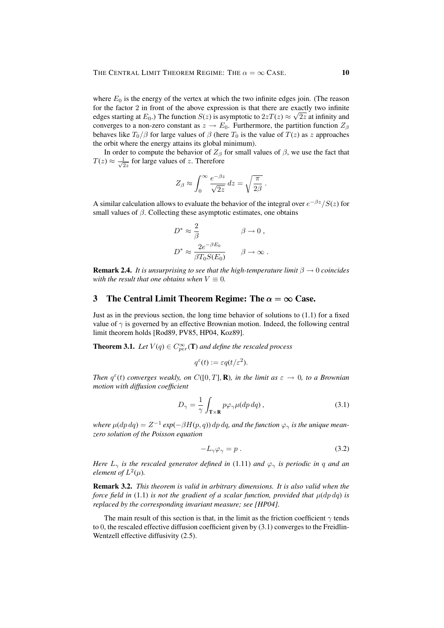where  $E_0$  is the energy of the vertex at which the two infinite edges join. (The reason for the factor 2 in front of the above expression is that there are exactly two infinite edges starting at  $E_0$ .) The function  $S(z)$  is asymptotic to  $2zT(z) \approx \sqrt{2z}$  at infinity and converges to a non-zero constant as  $z \to E_0$ . Furthermore, the partition function  $Z_\beta$ behaves like  $T_0/\beta$  for large values of  $\beta$  (here  $T_0$  is the value of  $T(z)$  as z approaches the orbit where the energy attains its global minimum).

In order to compute the behavior of  $Z_\beta$  for small values of  $\beta$ , we use the fact that  $T(z) \approx \frac{1}{\sqrt{c}}$  $\frac{1}{2z}$  for large values of z. Therefore

$$
Z_{\beta} \approx \int_0^{\infty} \frac{e^{-\beta z}}{\sqrt{2z}} dz = \sqrt{\frac{\pi}{2\beta}}.
$$

A similar calculation allows to evaluate the behavior of the integral over  $e^{-\beta z}/S(z)$  for small values of  $\beta$ . Collecting these asymptotic estimates, one obtains

$$
\begin{aligned} D^* &\approx \frac{2}{\beta} \qquad \qquad \beta \to 0 \;, \\ D^* &\approx \frac{2e^{-\beta E_0}}{\beta T_0 S(E_0)} \qquad \beta \to \infty \;. \end{aligned}
$$

**Remark 2.4.** *It is unsurprising to see that the high-temperature limit*  $\beta \rightarrow 0$  *coincides with the result that one obtains when*  $V \equiv 0$ *.* 

## 3 The Central Limit Theorem Regime: The  $\alpha = \infty$  Case.

Just as in the previous section, the long time behavior of solutions to (1.1) for a fixed value of  $\gamma$  is governed by an effective Brownian motion. Indeed, the following central limit theorem holds [Rod89, PV85, HP04, Koz89].

**Theorem 3.1.** Let  $V(q) \in C_{per}^{\infty}(\mathbf{T})$  and define the rescaled process

$$
q^{\varepsilon}(t) := \varepsilon q(t/\varepsilon^2).
$$

*Then*  $q^{\epsilon}(t)$  *converges weakly, on*  $C([0, T], \mathbf{R})$ *, in the limit as*  $\epsilon \to 0$ *, to a Brownian motion with diffusion coefficient*

$$
D_{\gamma} = \frac{1}{\gamma} \int_{\mathbf{T} \times \mathbf{R}} p \varphi_{\gamma} \mu(dp \, dq) , \qquad (3.1)
$$

where  $\mu(dp\,dq)=Z^{-1}\exp(-\beta H(p,q))\,dp\,dq,$  and the function  $\varphi_\gamma$  is the unique mean*zero solution of the Poisson equation*

$$
-L_{\gamma}\varphi_{\gamma} = p. \tag{3.2}
$$

*Here*  $L_{\gamma}$  *is the rescaled generator defined in* (1.11) *and*  $\varphi_{\gamma}$  *is periodic in* q *and an element of*  $L^2(\mu)$ *.* 

Remark 3.2. *This theorem is valid in arbitrary dimensions. It is also valid when the force field in* (1.1) *is not the gradient of a scalar function, provided that*  $\mu$ (*dp dq) is replaced by the corresponding invariant measure; see [HP04].*

The main result of this section is that, in the limit as the friction coefficient  $\gamma$  tends to 0, the rescaled effective diffusion coefficient given by (3.1) converges to the Freidlin-Wentzell effective diffusivity (2.5).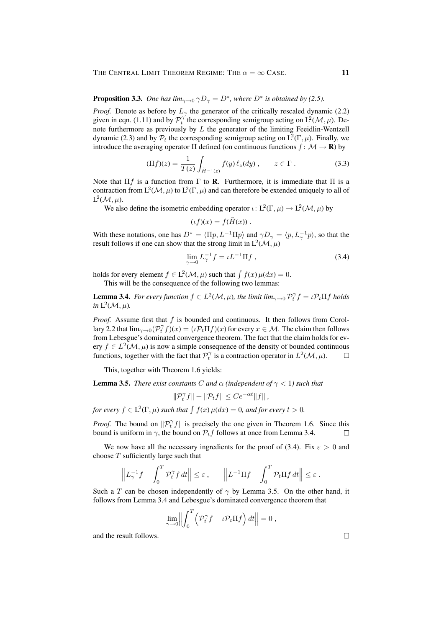## **Proposition 3.3.** One has  $\lim_{\gamma \to 0} \gamma D_{\gamma} = D^*$ , where  $D^*$  is obtained by (2.5).

*Proof.* Denote as before by  $L_{\gamma}$  the generator of the critically rescaled dynamic (2.2) given in eqn. (1.11) and by  $\mathcal{P}_t^{\gamma}$  the corresponding semigroup acting on  $L^2(\mathcal{M}, \mu)$ . Denote furthermore as previously by  $L$  the generator of the limiting Feeidlin-Wentzell dynamic (2.3) and by  $P_t$  the corresponding semigroup acting on  $L^2(\Gamma,\mu)$ . Finally, we introduce the averaging operator  $\Pi$  defined (on continuous functions  $f: \mathcal{M} \to \mathbf{R}$ ) by

$$
(\Pi f)(z) = \frac{1}{T(z)} \int_{\tilde{H}^{-1}(z)} f(y) \ell_z(dy) , \qquad z \in \Gamma .
$$
 (3.3)

Note that  $\Pi f$  is a function from  $\Gamma$  to **R**. Furthermore, it is immediate that  $\Pi$  is a contraction from  $L^2(\mathcal{M}, \mu)$  to  $L^2(\Gamma, \mu)$  and can therefore be extended uniquely to all of  $L^2(\mathcal{M}, \mu)$ .

We also define the isometric embedding operator  $\iota : L^2(\Gamma, \mu) \to L^2(\mathcal{M}, \mu)$  by

$$
(\iota f)(x) = f(\tilde{H}(x)) .
$$

With these notations, one has  $D^* = \langle \Pi p, L^{-1} \Pi p \rangle$  and  $\gamma D_{\gamma} = \langle p, L_{\gamma}^{-1} p \rangle$ , so that the result follows if one can show that the strong limit in  $L^2(\mathcal{M}, \mu)$ 

$$
\lim_{\gamma \to 0} L_{\gamma}^{-1} f = \iota L^{-1} \Pi f , \qquad (3.4)
$$

holds for every element  $f \in L^2(\mathcal{M}, \mu)$  such that  $\int f(x) \mu(dx) = 0$ .

This will be the consequence of the following two lemmas:

**Lemma 3.4.** For every function  $f \in L^2(\mathcal{M}, \mu)$ , the limit lim<sub> $\gamma \to 0$ </sub>  $\mathcal{P}_t^{\gamma} f = \iota \mathcal{P}_t \Pi f$  holds *in*  $L^2(\mathcal{M}, \mu)$ *.* 

*Proof.* Assume first that f is bounded and continuous. It then follows from Corollary 2.2 that  $\lim_{\gamma\to 0} (P_t^{\gamma} f)(x) = (\iota P_t \Pi f)(x)$  for every  $x \in \mathcal{M}$ . The claim then follows from Lebesgue's dominated convergence theorem. The fact that the claim holds for every  $f \in L^2(\mathcal{M}, \mu)$  is now a simple consequence of the density of bounded continuous functions, together with the fact that  $\mathcal{P}_t^{\gamma}$  is a contraction operator in  $L^2(\mathcal{M}, \mu)$ .  $\Box$ 

This, together with Theorem 1.6 yields:

**Lemma 3.5.** *There exist constants* C *and*  $\alpha$  *(independent of*  $\gamma$  < 1*) such that* 

$$
\|\mathcal{P}_t^{\gamma}f\| + \|\mathcal{P}_t f\| \leq Ce^{-\alpha t} \|f\|,
$$

for every  $f \in L^2(\Gamma, \mu)$  such that  $\int f(x) \mu(dx) = 0$ , and for every  $t > 0$ .

*Proof.* The bound on  $\|\mathcal{P}_t^{\gamma} f\|$  is precisely the one given in Theorem 1.6. Since this bound is uniform in  $\gamma$ , the bound on  $\mathcal{P}_t f$  follows at once from Lemma 3.4.  $\Box$ 

We now have all the necessary ingredients for the proof of (3.4). Fix  $\varepsilon > 0$  and choose  $T$  sufficiently large such that

$$
\left\| L_{\gamma}^{-1} f - \int_0^T \mathcal{P}_t^{\gamma} f \, dt \right\| \leq \varepsilon , \qquad \left\| L^{-1} \Pi f - \int_0^T \mathcal{P}_t \Pi f \, dt \right\| \leq \varepsilon .
$$

Such a T can be chosen independently of  $\gamma$  by Lemma 3.5. On the other hand, it follows from Lemma 3.4 and Lebesgue's dominated convergence theorem that

$$
\lim_{\gamma \to 0} \left\| \int_0^T \left( \mathcal{P}_t^{\gamma} f - \iota \mathcal{P}_t \Pi f \right) dt \right\| = 0,
$$

and the result follows.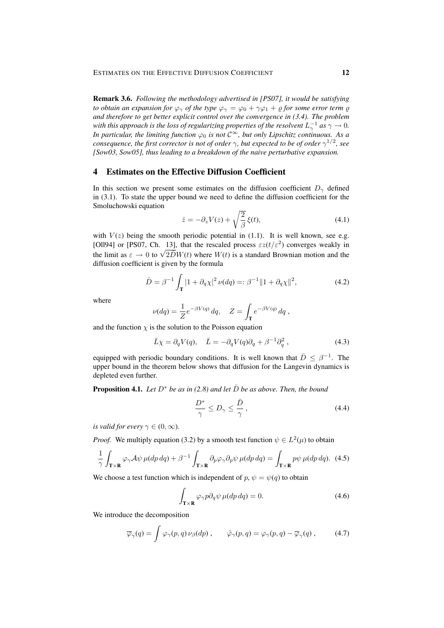Remark 3.6. *Following the methodology advertised in [PS07], it would be satisfying to obtain an expansion for*  $\varphi_{\gamma}$  *of the type*  $\varphi_{\gamma} = \varphi_0 + \gamma \varphi_1 + \varrho$  *for some error term*  $\varrho$ *and therefore to get better explicit control over the convergence in (3.4). The problem* with this approach is the loss of regularizing properties of the resolvent  $L_\gamma^{-1}$  as  $\gamma \to 0.$ *In particular, the limiting function*  $\varphi_0$  *is not*  $C^{\infty}$ *, but only Lipschitz continuous. As a consequence, the first corrector is not of order*  $\gamma$ *, but expected to be of order*  $\gamma^{1/2}$ *, see [Sow03, Sow05], thus leading to a breakdown of the naive perturbative expansion.*

## 4 Estimates on the Effective Diffusion Coefficient

In this section we present some estimates on the diffusion coefficient  $D_{\gamma}$  defined in (3.1). To state the upper bound we need to define the diffusion coefficient for the Smoluchowski equation

$$
\dot{z} = -\partial_z V(z) + \sqrt{\frac{2}{\beta}} \xi(t),\tag{4.1}
$$

with  $V(z)$  being the smooth periodic potential in (1.1). It is well known, see e.g. [Oll94] or [PS07, Ch. 13], that the rescaled process  $\epsilon z(t/\epsilon^2)$  converges weakly in (Off) the limit as  $\varepsilon \to 0$  to  $\sqrt{2D}W(t)$  where  $W(t)$  is a standard Brownian motion and the diffusion coefficient is given by the formula

$$
\bar{D} = \beta^{-1} \int_{\mathbf{T}} |1 + \partial_q \chi|^2 \, \nu(dq) =: \beta^{-1} \| 1 + \partial_q \chi \|^2,\tag{4.2}
$$

where

$$
\nu(dq) = \frac{1}{Z}e^{-\beta V(q)} dq, \quad Z = \int_{\mathbf{T}} e^{-\beta V(q)} dq,
$$

and the function  $\chi$  is the solution to the Poisson equation

$$
\bar{L}\chi = \partial_q V(q), \quad \bar{L} = -\partial_q V(q)\partial_q + \beta^{-1}\partial_q^2 , \tag{4.3}
$$

equipped with periodic boundary conditions. It is well known that  $\bar{D} \leq \beta^{-1}$ . The upper bound in the theorem below shows that diffusion for the Langevin dynamics is depleted even further.

**Proposition 4.1.** *Let*  $D^*$  *be as in (2.8) and let*  $\overline{D}$  *be as above. Then, the bound* 

$$
\frac{D^*}{\gamma} \le D_\gamma \le \frac{\bar{D}}{\gamma},\tag{4.4}
$$

*is valid for every*  $\gamma \in (0, \infty)$ *.* 

*Proof.* We multiply equation (3.2) by a smooth test function  $\psi \in L^2(\mu)$  to obtain

$$
\frac{1}{\gamma} \int_{\mathbf{T} \times \mathbf{R}} \varphi_{\gamma} \mathcal{A} \psi \,\mu(dp \,dq) + \beta^{-1} \int_{\mathbf{T} \times \mathbf{R}} \partial_p \varphi_{\gamma} \partial_p \psi \,\mu(dp \,dq) = \int_{\mathbf{T} \times \mathbf{R}} p\psi \,\mu(dp \,dq). \tag{4.5}
$$

We choose a test function which is independent of  $p, \psi = \psi(q)$  to obtain

$$
\int_{\mathbf{T}\times\mathbf{R}} \varphi \gamma p \partial_q \psi \,\mu(dp \,dq) = 0. \tag{4.6}
$$

We introduce the decomposition

$$
\overline{\varphi}_{\gamma}(q) = \int \varphi_{\gamma}(p,q) \nu_{\beta}(dp) , \qquad \tilde{\varphi}_{\gamma}(p,q) = \varphi_{\gamma}(p,q) - \overline{\varphi}_{\gamma}(q) , \qquad (4.7)
$$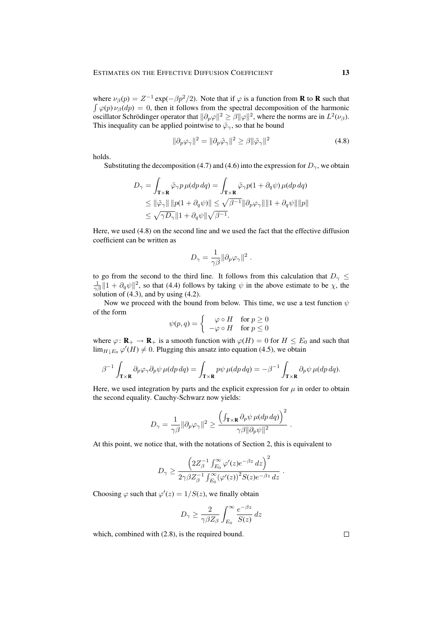where  $\nu_{\beta}(p) = Z^{-1} \exp(-\beta p^2/2)$ . Note that if  $\varphi$  is a function from **R** to **R** such that  $\int \varphi(p) \nu_{\beta}(dp) = 0$ , then it follows from the spectral decomposition of the harmonic oscillator Schrödinger operator that  $\|\partial_p\varphi\|^2 \ge \beta \|\varphi\|^2$ , where the norms are in  $L^2(\nu_\beta)$ . This inequality can be applied pointwise to  $\tilde{\varphi}_{\gamma}$ , so that he bound

$$
\|\partial_p \varphi_\gamma\|^2 = \|\partial_p \tilde{\varphi}_\gamma\|^2 \ge \beta \|\tilde{\varphi}_\gamma\|^2 \tag{4.8}
$$

holds.

Substituting the decomposition (4.7) and (4.6) into the expression for  $D_{\gamma}$ , we obtain

$$
D_{\gamma} = \int_{\mathbf{T} \times \mathbf{R}} \tilde{\varphi}_{\gamma} p \,\mu(dp \,dq) = \int_{\mathbf{T} \times \mathbf{R}} \tilde{\varphi}_{\gamma} p(1 + \partial_q \psi) \,\mu(dp \,dq)
$$
  
\n
$$
\leq ||\tilde{\varphi}_{\gamma}|| \, ||p(1 + \partial_q \psi)|| \leq \sqrt{\beta^{-1}} ||\partial_p \varphi_{\gamma}|| ||1 + \partial_q \psi|| ||p||
$$
  
\n
$$
\leq \sqrt{\gamma D_{\gamma}} ||1 + \partial_q \psi|| \sqrt{\beta^{-1}}.
$$

Here, we used (4.8) on the second line and we used the fact that the effective diffusion coefficient can be written as

$$
D_\gamma = \frac{1}{\gamma \beta} \| \partial_p \varphi_\gamma \|^2 \; .
$$

to go from the second to the third line. It follows from this calculation that  $D_{\gamma} \leq$  $\frac{1}{\gamma\beta}$  || 1 +  $\partial_q\psi$ ||<sup>2</sup>, so that (4.4) follows by taking  $\psi$  in the above estimate to be  $\chi$ , the solution of  $(4.3)$ , and by using  $(4.2)$ .

Now we proceed with the bound from below. This time, we use a test function  $\psi$ of the form

$$
\psi(p,q) = \begin{cases} \varphi \circ H & \text{for } p \ge 0 \\ -\varphi \circ H & \text{for } p \le 0 \end{cases}
$$

where  $\varphi: \mathbf{R}_+ \to \mathbf{R}_+$  is a smooth function with  $\varphi(H) = 0$  for  $H \leq E_0$  and such that  $\lim_{H \downarrow E_0} \varphi'(H) \neq 0$ . Plugging this ansatz into equation (4.5), we obtain

$$
\beta^{-1} \int_{\mathbf{T} \times \mathbf{R}} \partial_p \varphi_\gamma \partial_p \psi \, \mu(dp \, dq) = \int_{\mathbf{T} \times \mathbf{R}} p\psi \, \mu(dp \, dq) = -\beta^{-1} \int_{\mathbf{T} \times \mathbf{R}} \partial_p \psi \, \mu(dp \, dq).
$$

Here, we used integration by parts and the explicit expression for  $\mu$  in order to obtain the second equality. Cauchy-Schwarz now yields:

$$
D_\gamma = \frac{1}{\gamma \beta} \| \partial_p \varphi_\gamma \|^2 \ge \frac{\left( \int_{\mathbf{T} \times \mathbf{R}} \partial_p \psi \, \mu(dp \, dq \right)^2}{\gamma \beta \| \partial_p \psi \|^2} \; .
$$

At this point, we notice that, with the notations of Section 2, this is equivalent to

$$
D_{\gamma}\geq \frac{\left(2Z_{\beta}^{-1}\int_{E_0}^{\infty}\varphi'(z)e^{-\beta z}\,dz\right)^2}{2\gamma\beta Z_{\beta}^{-1}\int_{E_0}^{\infty}(\varphi'(z))^2S(z)e^{-\beta z}\,dz}.
$$

Choosing  $\varphi$  such that  $\varphi'(z) = 1/S(z)$ , we finally obtain

$$
D_{\gamma} \ge \frac{2}{\gamma \beta Z_{\beta}} \int_{E_0}^{\infty} \frac{e^{-\beta z}}{S(z)} dz
$$

which, combined with (2.8), is the required bound.

 $\Box$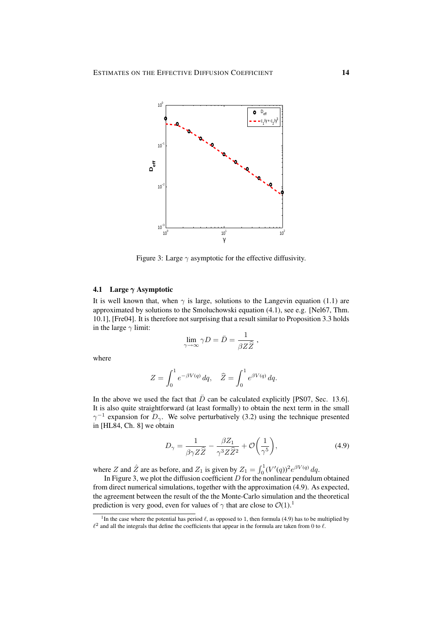

Figure 3: Large  $\gamma$  asymptotic for the effective diffusivity.

## 4.1 Large  $\gamma$  Asymptotic

It is well known that, when  $\gamma$  is large, solutions to the Langevin equation (1.1) are approximated by solutions to the Smoluchowski equation (4.1), see e.g. [Nel67, Thm. 10.1], [Fre04]. It is therefore not surprising that a result similar to Proposition 3.3 holds in the large  $\gamma$  limit:

$$
\lim_{\gamma \to \infty} \gamma D = \bar{D} = \frac{1}{\beta Z \hat{Z}},
$$

where

$$
Z = \int_0^1 e^{-\beta V(q)} dq, \quad \widehat{Z} = \int_0^1 e^{\beta V(q)} dq.
$$

In the above we used the fact that  $\overline{D}$  can be calculated explicitly [PS07, Sec. 13.6]. It is also quite straightforward (at least formally) to obtain the next term in the small  $\gamma^{-1}$  expansion for  $D_{\gamma}$ . We solve perturbatively (3.2) using the technique presented in [HL84, Ch. 8] we obtain

$$
D_{\gamma} = \frac{1}{\beta \gamma Z \hat{Z}} - \frac{\beta Z_1}{\gamma^3 Z \hat{Z}^2} + \mathcal{O}\left(\frac{1}{\gamma^5}\right),\tag{4.9}
$$

where Z and  $\hat{Z}$  are as before, and  $Z_1$  is given by  $Z_1 = \int_0^1 (V'(q))^2 e^{\beta V(q)} dq$ .

In Figure 3, we plot the diffusion coefficient  $D$  for the nonlinear pendulum obtained from direct numerical simulations, together with the approximation (4.9). As expected, the agreement between the result of the the Monte-Carlo simulation and the theoretical prediction is very good, even for values of  $\gamma$  that are close to  $\mathcal{O}(1)$ .<sup>1</sup>

<sup>&</sup>lt;sup>1</sup>In the case where the potential has period  $\ell$ , as opposed to 1, then formula (4.9) has to be multiplied by  $\ell^2$  and all the integrals that define the coefficients that appear in the formula are taken from 0 to  $\ell$ .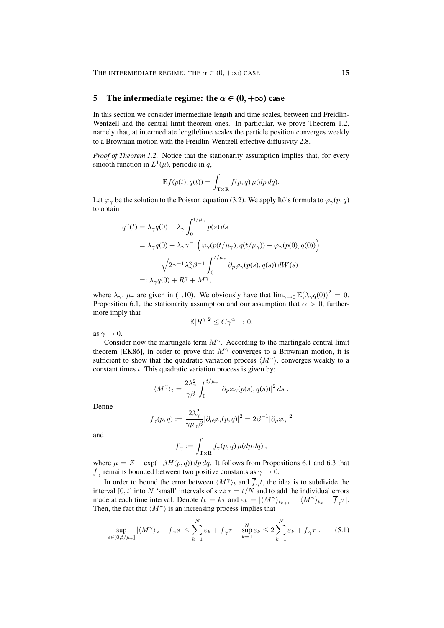### 5 The intermediate regime: the  $\alpha \in (0, +\infty)$  case

In this section we consider intermediate length and time scales, between and Freidlin-Wentzell and the central limit theorem ones. In particular, we prove Theorem 1.2, namely that, at intermediate length/time scales the particle position converges weakly to a Brownian motion with the Freidlin-Wentzell effective diffusivity 2.8.

*Proof of Theorem 1.2.* Notice that the stationarity assumption implies that, for every smooth function in  $L^1(\mu)$ , periodic in q,

$$
\mathbb{E}f(p(t), q(t)) = \int_{\mathbf{T} \times \mathbf{R}} f(p, q) \,\mu(dp \,dq).
$$

Let  $\varphi_{\gamma}$  be the solution to the Poisson equation (3.2). We apply Itô's formula to  $\varphi_{\gamma}(p,q)$ to obtain

$$
q^{\gamma}(t) = \lambda_{\gamma} q(0) + \lambda_{\gamma} \int_{0}^{t/\mu_{\gamma}} p(s) ds
$$
  
\n
$$
= \lambda_{\gamma} q(0) - \lambda_{\gamma} \gamma^{-1} \Big( \varphi_{\gamma}(p(t/\mu_{\gamma}), q(t/\mu_{\gamma})) - \varphi_{\gamma}(p(0), q(0)) \Big)
$$
  
\n
$$
+ \sqrt{2\gamma^{-1} \lambda_{\gamma}^{2} \beta^{-1}} \int_{0}^{t/\mu_{\gamma}} \partial_{p} \varphi_{\gamma}(p(s), q(s)) dW(s)
$$
  
\n
$$
=: \lambda_{\gamma} q(0) + R^{\gamma} + M^{\gamma},
$$

where  $\lambda_{\gamma}$ ,  $\mu_{\gamma}$  are given in (1.10). We obviously have that  $\lim_{\gamma \to 0} \mathbb{E}(\lambda_{\gamma} q(0))^2 = 0$ . Proposition 6.1, the stationarity assumption and our assumption that  $\alpha > 0$ , furthermore imply that

$$
\mathbb{E}|R^{\gamma}|^2 \leq C\gamma^{\alpha} \to 0,
$$

as  $\gamma \to 0$ .

Consider now the martingale term  $M^{\gamma}$ . According to the martingale central limit theorem [EK86], in order to prove that  $M^{\gamma}$  converges to a Brownian motion, it is sufficient to show that the quadratic variation process  $\langle M^{\gamma} \rangle$ , converges weakly to a constant times  $t$ . This quadratic variation process is given by:

$$
\langle M^{\gamma}\rangle_t = \frac{2\lambda_{\gamma}^2}{\gamma\beta} \int_0^{t/\mu_{\gamma}} |\partial_p \varphi_{\gamma}(p(s), q(s))|^2 ds.
$$

Define

$$
f_{\gamma}(p,q):=\frac{2\lambda_{\gamma}^2}{\gamma\mu_{\gamma}\beta}|\partial_p\varphi_{\gamma}(p,q)|^2=2\beta^{-1}|\partial_p\varphi_{\gamma}|^2
$$

and

$$
\overline{f}_{\gamma} := \int_{\mathbf{T} \times \mathbf{R}} f_{\gamma}(p, q) \,\mu(dp \,dq) ,
$$

where  $\mu = Z^{-1} \exp(-\beta H(p, q)) dp dq$ . It follows from Propositions 6.1 and 6.3 that  $\overline{f}_\gamma$  remains bounded between two positive constants as  $\gamma \to 0$ .

In order to bound the error between  $\langle M^{\gamma} \rangle_t$  and  $\overline{f}_{\gamma} t$ , the idea is to subdivide the interval [0, t] into N 'small' intervals of size  $\tau = t/N$  and to add the individual errors made at each time interval. Denote  $t_k = k\tau$  and  $\varepsilon_k = |\langle M^\gamma \rangle_{t_{k+1}} - \langle M^\gamma \rangle_{t_k} - \overline{f}_\gamma \tau|$ . Then, the fact that  $\langle M^{\gamma} \rangle$  is an increasing process implies that

$$
\sup_{s \in [0, t/\mu_{\gamma}]} |\langle M^{\gamma} \rangle_s - \overline{f}_{\gamma} s| \le \sum_{k=1}^N \varepsilon_k + \overline{f}_{\gamma} \tau + \sup_{k=1}^N \varepsilon_k \le 2 \sum_{k=1}^N \varepsilon_k + \overline{f}_{\gamma} \tau. \tag{5.1}
$$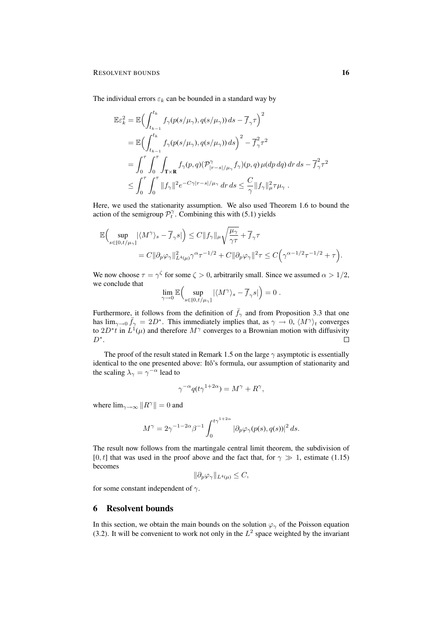The individual errors  $\varepsilon_k$  can be bounded in a standard way by

$$
\mathbb{E}\varepsilon_k^2 = \mathbb{E}\Big(\int_{t_{k-1}}^{t_k} f_\gamma(p(s/\mu_\gamma), q(s/\mu_\gamma)) ds - \overline{f}_\gamma \tau\Big)^2
$$
  
\n
$$
= \mathbb{E}\Big(\int_{t_{k-1}}^{t_k} f_\gamma(p(s/\mu_\gamma), q(s/\mu_\gamma)) ds\Big)^2 - \overline{f}_\gamma^2 \tau^2
$$
  
\n
$$
= \int_0^\tau \int_0^\tau \int_{\mathbf{T} \times \mathbf{R}} f_\gamma(p, q) (\mathcal{P}_{|r-s|/\mu_\gamma}^\gamma f_\gamma)(p, q) \mu(dp dq) dr ds - \overline{f}_\gamma^2 \tau^2
$$
  
\n
$$
\leq \int_0^\tau \int_0^\tau \|f_\gamma\|^2 e^{-C\gamma|r-s|/\mu_\gamma} dr ds \leq \frac{C}{\gamma} \|f_\gamma\|_\mu^2 \tau \mu_\gamma.
$$

Here, we used the stationarity assumption. We also used Theorem 1.6 to bound the action of the semigroup  $\mathcal{P}_t^{\gamma}$ . Combining this with (5.1) yields

$$
\begin{split} \mathbb{E}&\Big(\sup_{s\in[0,t/\mu_{\gamma}]}|\langle M^{\gamma}\rangle_{s}-\overline{f}_{\gamma}s|\Big)\leq C\|f_{\gamma}\|_{\mu}\sqrt{\frac{\mu_{\gamma}}{\gamma\tau}}+\overline{f}_{\gamma}\tau\\ &=C\|\partial_{p}\varphi_{\gamma}\|^{2}_{L^{4}(\mu)}\gamma^{\alpha}\tau^{-1/2}+C\|\partial_{p}\varphi_{\gamma}\|^{2}\tau\leq C\Big(\gamma^{\alpha-1/2}\tau^{-1/2}+\tau\Big). \end{split}
$$

We now choose  $\tau = \gamma^{\zeta}$  for some  $\zeta > 0$ , arbitrarily small. Since we assumed  $\alpha > 1/2$ , we conclude that

$$
\lim_{\gamma \to 0} \mathbb{E} \Big( \sup_{s \in [0, t/\mu_\gamma]} |\langle M^\gamma \rangle_s - \overline{f}_\gamma s| \Big) = 0.
$$

Furthermore, it follows from the definition of  $\bar{f}_{\gamma}$  and from Proposition 3.3 that one has  $\lim_{\gamma \to 0} \bar{f}_{\gamma} = 2D^*$ . This immediately implies that, as  $\gamma \to 0$ ,  $\langle M^{\gamma} \rangle_t$  converges to  $2D^*t$  in  $L^1(\mu)$  and therefore  $M^{\gamma}$  converges to a Brownian motion with diffusivity  $D^*$ .  $\Box$ 

The proof of the result stated in Remark 1.5 on the large  $\gamma$  asymptotic is essentially identical to the one presented above: Itô's formula, our assumption of stationarity and the scaling  $\lambda_{\gamma} = \gamma^{-\alpha}$  lead to

$$
\gamma^{-\alpha} q(t\gamma^{1+2\alpha}) = M^{\gamma} + R^{\gamma},
$$

where  $\lim_{\gamma \to \infty} ||R^{\gamma}|| = 0$  and

$$
M^{\gamma} = 2\gamma^{-1-2\alpha}\beta^{-1} \int_0^{t\gamma^{1+2\alpha}} |\partial_p \varphi_{\gamma}(p(s), q(s))|^2 ds.
$$

The result now follows from the martingale central limit theorem, the subdivision of [0, t] that was used in the proof above and the fact that, for  $\gamma \gg 1$ , estimate (1.15) becomes

$$
\|\partial_p \varphi_\gamma\|_{L^4(\mu)} \le C,
$$

for some constant independent of  $\gamma$ .

#### 6 Resolvent bounds

In this section, we obtain the main bounds on the solution  $\varphi_{\gamma}$  of the Poisson equation (3.2). It will be convenient to work not only in the  $L^2$  space weighted by the invariant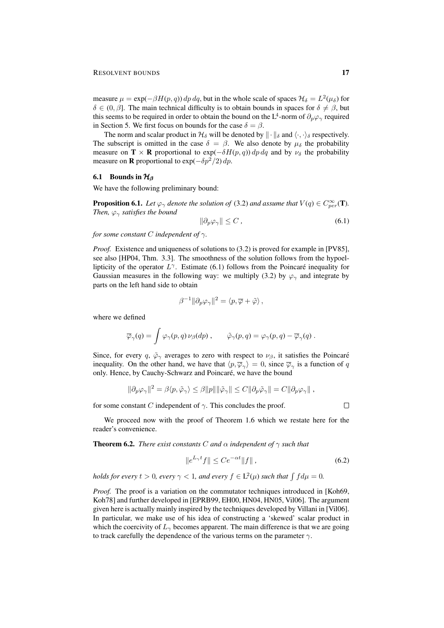measure  $\mu = \exp(-\beta H(p, q)) dp dq$ , but in the whole scale of spaces  $\mathcal{H}_{\delta} = L^2(\mu_{\delta})$  for  $\delta \in (0, \beta]$ . The main technical difficulty is to obtain bounds in spaces for  $\delta \neq \beta$ , but this seems to be required in order to obtain the bound on the L<sup>4</sup>-norm of  $\partial_p\varphi_\gamma$  required in Section 5. We first focus on bounds for the case  $\delta = \beta$ .

The norm and scalar product in  $\mathcal{H}_{\delta}$  will be denoted by  $\|\cdot\|_{\delta}$  and  $\langle \cdot, \cdot \rangle_{\delta}$  respectively. The subscript is omitted in the case  $\delta = \beta$ . We also denote by  $\mu_{\delta}$  the probability measure on  $\mathbf{T} \times \mathbf{R}$  proportional to  $\exp(-\delta H(p,q)) dp dq$  and by  $\nu_{\delta}$  the probability measure on **R** proportional to  $\exp(-\delta p^2/2) dp$ .

#### 6.1 Bounds in  $\mathcal{H}_{\beta}$

We have the following preliminary bound:

**Proposition 6.1.** Let  $\varphi_{\gamma}$  denote the solution of (3.2) and assume that  $V(q) \in C^{\infty}_{per}(\mathbf{T})$ . *Then,*  $\varphi_{\gamma}$  *satisfies the bound* 

$$
\|\partial_p \varphi_\gamma\| \le C \,,\tag{6.1}
$$

*for some constant* C *independent of* γ*.*

*Proof.* Existence and uniqueness of solutions to (3.2) is proved for example in [PV85], see also [HP04, Thm. 3.3]. The smoothness of the solution follows from the hypoellipticity of the operator  $L^{\gamma}$ . Estimate (6.1) follows from the Poincaré inequality for Gaussian measures in the following way: we multiply (3.2) by  $\varphi_{\gamma}$  and integrate by parts on the left hand side to obtain

$$
\beta^{-1} \|\partial_p \varphi_\gamma\|^2 = \langle p, \overline{\varphi} + \tilde{\varphi} \rangle,
$$

where we defined

$$
\overline{\varphi}_{\gamma}(q) = \int \varphi_{\gamma}(p,q) \nu_{\beta}(dp) , \qquad \tilde{\varphi}_{\gamma}(p,q) = \varphi_{\gamma}(p,q) - \overline{\varphi}_{\gamma}(q) .
$$

Since, for every q,  $\tilde{\varphi}_{\gamma}$  averages to zero with respect to  $\nu_{\beta}$ , it satisfies the Poincaré inequality. On the other hand, we have that  $\langle p, \overline{\varphi}_{\gamma} \rangle = 0$ , since  $\overline{\varphi}_{\gamma}$  is a function of q only. Hence, by Cauchy-Schwarz and Poincaré, we have the bound

$$
\|\partial_p \varphi_\gamma\|^2 = \beta \langle p, \tilde{\varphi}_\gamma \rangle \leq \beta \|p\| \|\tilde{\varphi}_\gamma\| \leq C \|\partial_p \tilde{\varphi}_\gamma\| = C \|\partial_p \varphi_\gamma\|,
$$

for some constant C independent of  $\gamma$ . This concludes the proof.

 $\Box$ 

We proceed now with the proof of Theorem 1.6 which we restate here for the reader's convenience.

**Theorem 6.2.** *There exist constants* C *and*  $\alpha$  *independent* of  $\gamma$  *such that* 

$$
\|e^{L_{\gamma}t}f\| \le Ce^{-\alpha t} \|f\|,\tag{6.2}
$$

*holds for every*  $t > 0$ , every  $\gamma < 1$ , and every  $f \in L^2(\mu)$  such that  $\int f d\mu = 0$ .

*Proof.* The proof is a variation on the commutator techniques introduced in [Koh69, Koh78] and further developed in [EPRB99, EH00, HN04, HN05, Vil06]. The argument given here is actually mainly inspired by the techniques developed by Villani in [Vil06]. In particular, we make use of his idea of constructing a 'skewed' scalar product in which the coercivity of  $L_{\gamma}$  becomes apparent. The main difference is that we are going to track carefully the dependence of the various terms on the parameter  $\gamma$ .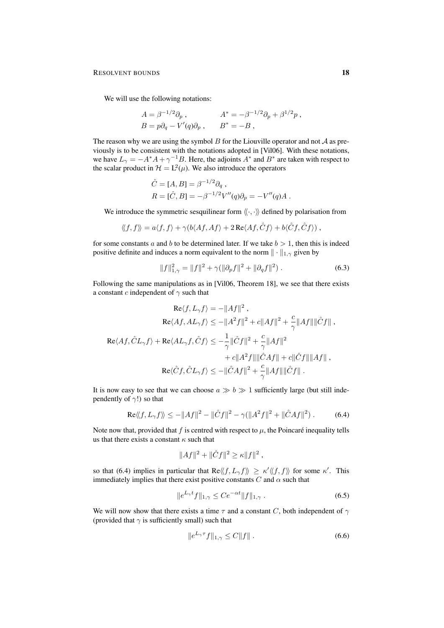We will use the following notations:

$$
A = \beta^{-1/2} \partial_p ,
$$
  
\n
$$
A^* = -\beta^{-1/2} \partial_p + \beta^{1/2} p ,
$$
  
\n
$$
B = p \partial_q - V'(q) \partial_p ,
$$
  
\n
$$
B^* = -B ,
$$

The reason why we are using the symbol  $B$  for the Liouville operator and not  $A$  as previously is to be consistent with the notations adopted in [Vil06]. With these notations, we have  $L_{\gamma} = -A^*A + \gamma^{-1}B$ . Here, the adjoints  $A^*$  and  $B^*$  are taken with respect to the scalar product in  $\mathcal{H} = L^2(\mu)$ . We also introduce the operators

$$
\hat{C} = [A, B] = \beta^{-1/2} \partial_q ,
$$
  
\n
$$
R = [\hat{C}, B] = -\beta^{-1/2} V''(q) \partial_p = -V''(q)A .
$$

We introduce the symmetric sesquilinear form  $\langle \langle \cdot, \cdot \rangle \rangle$  defined by polarisation from

$$
\langle\!\langle f,f\rangle\!\rangle=a\langle f,f\rangle+\gamma(b\langle Af,Af\rangle+2\operatorname{Re}\langle Af,\hat{C}f\rangle+b\langle\hat{C}f,\hat{C}f\rangle)\;,
$$

for some constants a and b to be determined later. If we take  $b > 1$ , then this is indeed positive definite and induces a norm equivalent to the norm  $\|\cdot\|_{1,\gamma}$  given by

$$
||f||_{1,\gamma}^2 = ||f||^2 + \gamma(||\partial_p f||^2 + ||\partial_q f||^2).
$$
 (6.3)

Following the same manipulations as in [Vil06, Theorem 18], we see that there exists a constant c independent of  $\gamma$  such that

$$
\begin{aligned} \text{Re}\langle f, L_{\gamma}f\rangle &= -\|Af\|^2\;,\\ \text{Re}\langle Af, AL_{\gamma}f\rangle &\leq -\|A^2f\|^2 + c\|Af\|^2 + \frac{c}{\gamma}\|Af\|\|\hat{C}f\|\;,\\ \text{Re}\langle Af, \hat{C}L_{\gamma}f\rangle &+ \text{Re}\langle AL_{\gamma}f, \hat{C}f\rangle &\leq -\frac{1}{\gamma}\|\hat{C}f\|^2 + \frac{c}{\gamma}\|Af\|^2\\ &\qquad + c\|A^2f\|\|\hat{C}Af\| + c\|\hat{C}f\|\|Af\|\;,\\ \text{Re}\langle \hat{C}f, \hat{C}L_{\gamma}f\rangle &\leq -\|\hat{C}Af\|^2 + \frac{c}{\gamma}\|Af\|\|\hat{C}f\|\;. \end{aligned}
$$

It is now easy to see that we can choose  $a \gg b \gg 1$  sufficiently large (but still independently of  $\gamma$ !) so that

$$
\text{Re}\langle\langle f, L_{\gamma} f \rangle\rangle \le -\|Af\|^2 - \|\hat{C}f\|^2 - \gamma(\|A^2f\|^2 + \|\hat{C}Af\|^2) \,. \tag{6.4}
$$

Note now that, provided that f is centred with respect to  $\mu$ , the Poincaré inequality tells us that there exists a constant  $\kappa$  such that

$$
||Af||^2 + ||\hat{C}f||^2 \ge \kappa ||f||^2,
$$

so that (6.4) implies in particular that  $\text{Re} \langle f, L_{\gamma} f \rangle \geq \kappa' \langle f, f \rangle$  for some  $\kappa'$ . This immediately implies that there exist positive constants  $C$  and  $\alpha$  such that

$$
||e^{L_{\gamma}t}f||_{1,\gamma} \le Ce^{-\alpha t}||f||_{1,\gamma}.
$$
\n(6.5)

We will now show that there exists a time  $\tau$  and a constant C, both independent of  $\gamma$ (provided that  $\gamma$  is sufficiently small) such that

$$
||e^{L_{\gamma}\tau}f||_{1,\gamma} \le C||f||. \tag{6.6}
$$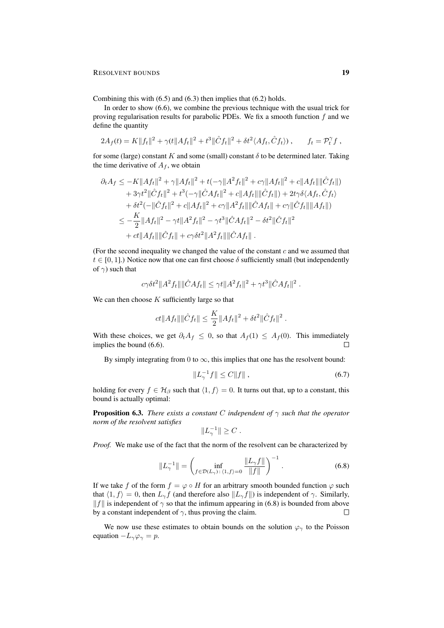Combining this with (6.5) and (6.3) then implies that (6.2) holds.

In order to show (6.6), we combine the previous technique with the usual trick for proving regularisation results for parabolic PDEs. We fix a smooth function  $f$  and we define the quantity

$$
2A_f(t) = K||f_t||^2 + \gamma(t||Af_t||^2 + t^3||\hat{C}f_t||^2 + \delta t^2 \langle Af_t, \hat{C}f_t \rangle), \qquad f_t = \mathcal{P}_t^{\gamma} f,
$$

for some (large) constant K and some (small) constant  $\delta$  to be determined later. Taking the time derivative of  $A_f$ , we obtain

$$
\partial_t A_f \leq -K \|Af_t\|^2 + \gamma \|Af_t\|^2 + t(-\gamma \|A^2 f_t\|^2 + c\gamma \|Af_t\|^2 + c\|Af_t\| \|\hat{C}f_t\|)
$$
  
+ 
$$
+ 3\gamma t^2 \|\hat{C}f_t\|^2 + t^3(-\gamma \|\hat{C}Af_t\|^2 + c\|Af_t\| \|\hat{C}f_t\|) + 2t\gamma \delta \langle Af_t, \hat{C}f_t \rangle
$$
  
+ 
$$
\delta t^2(-\|\hat{C}f_t\|^2 + c\|Af_t\|^2 + c\gamma \|A^2 f_t\| \|\hat{C}Af_t\| + c\gamma \|\hat{C}f_t\| \|Af_t\|)
$$
  

$$
\leq -\frac{K}{2} \|Af_t\|^2 - \gamma t \|A^2 f_t\|^2 - \gamma t^3 \|\hat{C}Af_t\|^2 - \delta t^2 \|\hat{C}f_t\|^2
$$
  
+ 
$$
ct \|Af_t\| \|\hat{C}f_t\| + c\gamma \delta t^2 \|A^2 f_t\| \|\hat{C}Af_t\|.
$$

(For the second inequality we changed the value of the constant  $c$  and we assumed that  $t \in [0, 1]$ .) Notice now that one can first choose  $\delta$  sufficiently small (but independently of  $\gamma$ ) such that

$$
c\gamma\delta t^2||A^2f_t|| ||\hat{C}Af_t|| \leq \gamma t||A^2f_t||^2 + \gamma t^3||\hat{C}Af_t||^2
$$
.

We can then choose  $K$  sufficiently large so that

$$
ct||Af_t|| ||\hat{C}f_t|| \leq \frac{K}{2} ||Af_t||^2 + \delta t^2 ||\hat{C}f_t||^2.
$$

With these choices, we get  $\partial_t A_f \leq 0$ , so that  $A_f(1) \leq A_f(0)$ . This immediately implies the bound (6.6).  $\Box$ 

By simply integrating from 0 to  $\infty$ , this implies that one has the resolvent bound:

$$
||L_{\gamma}^{-1}f|| \le C||f||,
$$
\n(6.7)

holding for every  $f \in H_\beta$  such that  $\langle 1, f \rangle = 0$ . It turns out that, up to a constant, this bound is actually optimal:

**Proposition 6.3.** *There exists a constant* C *independent* of  $\gamma$  *such that the operator norm of the resolvent satisfies*

$$
||L_{\gamma}^{-1}|| \geq C.
$$

*Proof.* We make use of the fact that the norm of the resolvent can be characterized by

$$
||L_{\gamma}^{-1}|| = \left(\inf_{f \in \mathcal{D}(L_{\gamma}) : \langle 1, f \rangle = 0} \frac{||L_{\gamma}f||}{||f||}\right)^{-1}.
$$
 (6.8)

If we take f of the form  $f = \varphi \circ H$  for an arbitrary smooth bounded function  $\varphi$  such that  $\langle 1, f \rangle = 0$ , then  $L_{\gamma} f$  (and therefore also  $||L_{\gamma} f||$ ) is independent of  $\gamma$ . Similarly,  $||f||$  is independent of  $\gamma$  so that the infimum appearing in (6.8) is bounded from above by a constant independent of  $\gamma$ , thus proving the claim. П

We now use these estimates to obtain bounds on the solution  $\varphi_{\gamma}$  to the Poisson equation  $-L_{\gamma}\varphi_{\gamma} = p$ .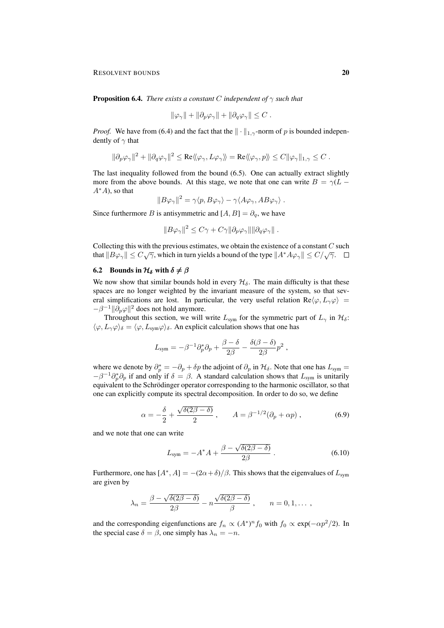RESOLVENT BOUNDS 20

Proposition 6.4. *There exists a constant* C *independent of* γ *such that*

$$
\|\varphi_\gamma\| + \|\partial_p \varphi_\gamma\| + \|\partial_q \varphi_\gamma\| \leq C.
$$

*Proof.* We have from (6.4) and the fact that the  $\|\cdot\|_{1,\gamma}$ -norm of p is bounded independently of  $\gamma$  that

$$
\|\partial_p\varphi_\gamma\|^2+\|\partial_q\varphi_\gamma\|^2\leq \mathrm{Re}\langle\!\langle\varphi_\gamma,L\varphi_\gamma\rangle\!\rangle=\mathrm{Re}\langle\!\langle\varphi_\gamma,p\rangle\!\rangle\leq C\|\varphi_\gamma\|_{1,\gamma}\leq C\;.
$$

The last inequality followed from the bound (6.5). One can actually extract slightly more from the above bounds. At this stage, we note that one can write  $B = \gamma(L A^*A$ , so that

$$
||B\varphi_{\gamma}||^2 = \gamma \langle p, B\varphi_{\gamma} \rangle - \gamma \langle A\varphi_{\gamma}, AB\varphi_{\gamma} \rangle.
$$

Since furthermore B is antisymmetric and  $[A, B] = \partial_q$ , we have

$$
||B\varphi_{\gamma}||^{2} \leq C\gamma + C\gamma ||\partial_{p}\varphi_{\gamma}|| ||\partial_{q}\varphi_{\gamma}||.
$$

Collecting this with the previous estimates, we obtain the existence of a constant  $C$  such that  $||B\varphi_{\gamma}|| \leq C\sqrt{\gamma}$ , which in turn yields a bound of the type  $||A^*A\varphi_{\gamma}|| \leq C/\sqrt{\gamma}$ .

#### 6.2 Bounds in  $\mathcal{H}_{\delta}$  with  $\delta \neq \beta$

We now show that similar bounds hold in every  $\mathcal{H}_{\delta}$ . The main difficulty is that these spaces are no longer weighted by the invariant measure of the system, so that several simplifications are lost. In particular, the very useful relation  $\text{Re}\langle\varphi, L_{\gamma}\varphi\rangle =$  $-\beta^{-1} \|\partial_p \varphi\|^2$  does not hold anymore.

Throughout this section, we will write  $L_{sym}$  for the symmetric part of  $L_{\gamma}$  in  $\mathcal{H}_{\delta}$ :  $\langle \varphi, L_{\gamma} \varphi \rangle_{\delta} = \langle \varphi, L_{sym} \varphi \rangle_{\delta}$ . An explicit calculation shows that one has

$$
L_{\text{sym}} = -\beta^{-1}\partial_p^*\partial_p + \frac{\beta-\delta}{2\beta} - \frac{\delta(\beta-\delta)}{2\beta}p^2 ,
$$

where we denote by  $\partial_p^* = -\partial_p + \delta p$  the adjoint of  $\partial_p$  in  $\mathcal{H}_\delta$ . Note that one has  $L_{sym} =$  $-\beta^{-1}\partial_p^*\partial_p$  if and only if  $\delta = \beta$ . A standard calculation shows that  $L_{sym}$  is unitarily equivalent to the Schrödinger operator corresponding to the harmonic oscillator, so that one can explicitly compute its spectral decomposition. In order to do so, we define

$$
\alpha = -\frac{\delta}{2} + \frac{\sqrt{\delta(2\beta - \delta)}}{2} , \qquad A = \beta^{-1/2} (\partial_p + \alpha p) , \qquad (6.9)
$$

and we note that one can write

$$
L_{\text{sym}} = -A^*A + \frac{\beta - \sqrt{\delta(2\beta - \delta)}}{2\beta} \,. \tag{6.10}
$$

Furthermore, one has  $[A^*, A] = -(2\alpha + \delta)/\beta$ . This shows that the eigenvalues of  $L_{sym}$ are given by

$$
\lambda_n = \frac{\beta - \sqrt{\delta(2\beta - \delta)}}{2\beta} - n \frac{\sqrt{\delta(2\beta - \delta)}}{\beta}, \qquad n = 0, 1, \dots,
$$

and the corresponding eigenfunctions are  $f_n \propto (A^*)^n f_0$  with  $f_0 \propto \exp(-\alpha p^2/2)$ . In the special case  $\delta = \beta$ , one simply has  $\lambda_n = -n$ .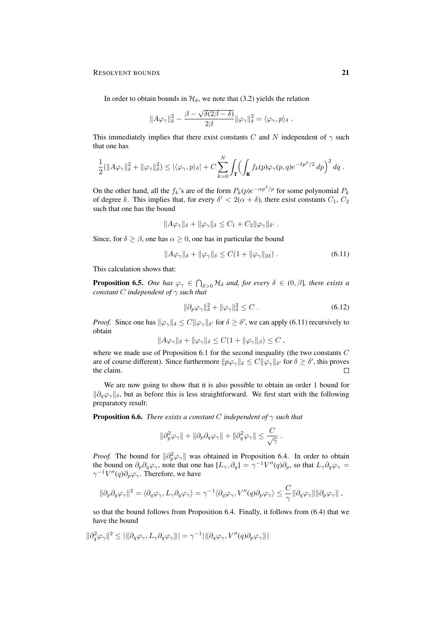In order to obtain bounds in  $\mathcal{H}_{\delta}$ , we note that (3.2) yields the relation

$$
||A\varphi_{\gamma}||_{\delta}^2 - \frac{\beta - \sqrt{\delta(2\beta - \delta)}}{2\beta} ||\varphi_{\gamma}||_{\delta}^2 = \langle \varphi_{\gamma}, p \rangle_{\delta}.
$$

This immediately implies that there exist constants C and N independent of  $\gamma$  such that one has

$$
\frac{1}{2}(\|A\varphi_{\gamma}\|_{\delta}^2 + \|\varphi_{\gamma}\|_{\delta}^2) \leq |\langle \varphi_{\gamma}, p \rangle_{\delta}| + C \sum_{k=0}^{N} \int_{\mathbf{T}} \Bigl(\int_{\mathbf{R}} f_k(p) \varphi_{\gamma}(p, q) e^{-\delta p^2/2} dp \Bigr)^2 dq.
$$

On the other hand, all the  $f_k$ 's are of the form  $P_k(p)e^{-\alpha p^2/p}$  for some polynomial  $P_k$ of degree k. This implies that, for every  $\delta' < 2(\alpha + \delta)$ , there exist constants  $C_1$ ,  $C_2$ such that one has the bound

$$
||A\varphi_{\gamma}||_{\delta} + ||\varphi_{\gamma}||_{\delta} \leq C_1 + C_2 ||\varphi_{\gamma}||_{\delta'}.
$$

Since, for  $\delta \geq \beta$ , one has  $\alpha \geq 0$ , one has in particular the bound

$$
||A\varphi_{\gamma}||_{\delta} + ||\varphi_{\gamma}||_{\delta} \le C(1 + ||\varphi_{\gamma}||_{2\delta}). \tag{6.11}
$$

This calculation shows that:

**Proposition 6.5.** *One has*  $\varphi_{\gamma} \in \bigcap_{\delta>0} \mathcal{H}_{\delta}$  *and, for every*  $\delta \in (0,\beta]$ *, there exists a constant* C *independent of* γ *such that*

$$
\|\partial_p \varphi_\gamma\|_\delta^2 + \|\varphi_\gamma\|_\delta^2 \le C \,. \tag{6.12}
$$

.

*Proof.* Since one has  $\|\varphi_\gamma\|_{\delta} \leq C \|\varphi_\gamma\|_{\delta'}$  for  $\delta \geq \delta'$ , we can apply (6.11) recursively to obtain

$$
||A\varphi_{\gamma}||_{\delta} + ||\varphi_{\gamma}||_{\delta} \leq C(1 + ||\varphi_{\gamma}||_{\beta}) \leq C,
$$

where we made use of Proposition 6.1 for the second inequality (the two constants  $C$ are of course different). Since furthermore  $||p\varphi_{\gamma}||_{\delta} \leq C ||\varphi_{\gamma}||_{\delta}$  for  $\delta \geq \delta'$ , this proves the claim.  $\Box$ 

We are now going to show that it is also possible to obtain an order 1 bound for  $\|\partial_q\varphi_\gamma\|_{\delta}$ , but as before this is less straightforward. We first start with the following preparatory result:

Proposition 6.6. *There exists a constant* C *independent of* γ *such that*

$$
\|\partial_p^2\varphi_\gamma\|+\|\partial_p\partial_q\varphi_\gamma\|+\|\partial_q^2\varphi_\gamma\|\leq \frac{C}{\sqrt{\gamma}}
$$

*Proof.* The bound for  $\|\partial_p^2 \varphi_\gamma\|$  was obtained in Proposition 6.4. In order to obtain the bound on  $\partial_p\partial_q\varphi_\gamma$ , note that one has  $[L_\gamma, \partial_q] = \gamma^{-1}V''(q)\partial_p$ , so that  $L_\gamma\partial_q\varphi_\gamma =$  $\gamma^{-1}V''(q)\partial_p\varphi_\gamma$ . Therefore, we have

$$
\|\partial_p\partial_q\varphi_\gamma\|^2=\langle\partial_q\varphi_\gamma,L_\gamma\partial_q\varphi_\gamma\rangle=\gamma^{-1}\langle\partial_q\varphi_\gamma,V''(q)\partial_p\varphi_\gamma\rangle\leq \frac{C}{\gamma}\|\partial_q\varphi_\gamma\|\|\partial_p\varphi_\gamma\|\ ,
$$

so that the bound follows from Proposition 6.4. Finally, it follows from (6.4) that we have the bound

$$
\|\partial_q^2\varphi_\gamma\|^2\leq |\langle\!\langle \partial_q\varphi_\gamma,L_\gamma\partial_q\varphi_\gamma\rangle\!\rangle|=\gamma^{-1}|\langle\!\langle \partial_q\varphi_\gamma,V''(q)\partial_p\varphi_\gamma\rangle\!\rangle|
$$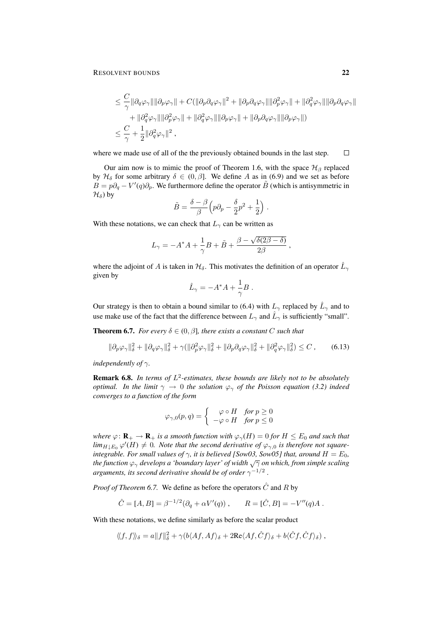$$
\leq \frac{C}{\gamma} \|\partial_q \varphi_\gamma\| \|\partial_p \varphi_\gamma\| + C(\|\partial_p \partial_q \varphi_\gamma\|^2 + \|\partial_p \partial_q \varphi_\gamma\| \|\partial_p^2 \varphi_\gamma\| + \|\partial_q^2 \varphi_\gamma\| \|\partial_p \partial_q \varphi_\gamma\| + \|\partial_q^2 \varphi_\gamma\| \|\partial_p^2 \varphi_\gamma\| + \|\partial_q^2 \varphi_\gamma\| \|\partial_p \varphi_\gamma\| + \|\partial_p \partial_q \varphi_\gamma\| \|\partial_p \varphi_\gamma\|)
$$
  

$$
\leq \frac{C}{\gamma} + \frac{1}{2} \|\partial_q^2 \varphi_\gamma\|^2,
$$

where we made use of all of the the previously obtained bounds in the last step.  $\Box$ 

Our aim now is to mimic the proof of Theorem 1.6, with the space  $\mathcal{H}_{\beta}$  replaced by  $\mathcal{H}_{\delta}$  for some arbitrary  $\delta \in (0, \beta]$ . We define A as in (6.9) and we set as before  $\vec{B} = p\partial_q - V'(q)\partial_p$ . We furthermore define the operator  $\tilde{B}$  (which is antisymmetric in  $\mathcal{H}_{\delta}$ ) by

$$
\tilde{B} = \frac{\delta - \beta}{\beta} \left( p \partial_p - \frac{\delta}{2} p^2 + \frac{1}{2} \right) .
$$

With these notations, we can check that  $L_{\gamma}$  can be written as

$$
L_{\gamma} = -A^*A + \frac{1}{\gamma}B + \tilde{B} + \frac{\beta - \sqrt{\delta(2\beta - \delta)}}{2\beta},
$$

where the adjoint of A is taken in  $\mathcal{H}_{\delta}$ . This motivates the definition of an operator  $\hat{L}_{\gamma}$ given by

$$
\hat{L}_{\gamma} = -A^*A + \frac{1}{\gamma}B \; .
$$

Our strategy is then to obtain a bound similar to (6.4) with  $L_{\gamma}$  replaced by  $\hat{L}_{\gamma}$  and to use make use of the fact that the difference between  $L_{\gamma}$  and  $\hat{L}_{\gamma}$  is sufficiently "small".

**Theorem 6.7.** *For every*  $\delta \in (0, \beta]$ *, there exists a constant* C *such that* 

$$
\|\partial_p \varphi_\gamma\|_\delta^2 + \|\partial_q \varphi_\gamma\|_\delta^2 + \gamma (\|\partial_p^2 \varphi_\gamma\|_\delta^2 + \|\partial_p \partial_q \varphi_\gamma\|_\delta^2 + \|\partial_q^2 \varphi_\gamma\|_\delta^2) \le C \,,\tag{6.13}
$$

*independently of* γ*.*

**Remark 6.8.** In terms of  $L^2$ -estimates, these bounds are likely not to be absolutely *optimal. In the limit*  $\gamma \to 0$  *the solution*  $\varphi_{\gamma}$  *of the Poisson equation* (3.2) *indeed converges to a function of the form*

$$
\varphi_{\gamma,0}(p,q) = \begin{cases} \varphi \circ H & \text{for } p \ge 0 \\ -\varphi \circ H & \text{for } p \le 0 \end{cases}
$$

*where*  $\varphi \colon \mathbf{R}_+ \to \mathbf{R}_+$  *is a smooth function with*  $\varphi_\gamma(H) = 0$  *for*  $H \leq E_0$  *and such that*  $\lim_{H \downarrow E_0} \varphi'(H) \neq 0$ . Note that the second derivative of  $\varphi_{\gamma,0}$  is therefore not square*integrable. For small values of*  $\gamma$ *, it is believed [Sow03, Sow05] that, around*  $H = E_0$ *, the function*  $\varphi$ <sub>γ</sub> *develops a 'boundary layer' of width*  $\sqrt{\gamma}$  *on which, from simple scaling* arguments, its second derivative should be of order  $\gamma^{-1/2}$  .

*Proof of Theorem 6.7.* We define as before the operators  $\hat{C}$  and R by

$$
\hat{C} = [A, B] = \beta^{-1/2} (\partial_q + \alpha V'(q)), \qquad R = [\hat{C}, B] = -V''(q)A.
$$

With these notations, we define similarly as before the scalar product

$$
\langle\!\langle f,f\rangle\!\rangle_\delta = a\|f\|_\delta^2 + \gamma (b\langle Af,Af\rangle_\delta + 2{\rm Re}\langle Af,\hat{C}f\rangle_\delta + b\langle \hat{C}f,\hat{C}f\rangle_\delta)\ ,
$$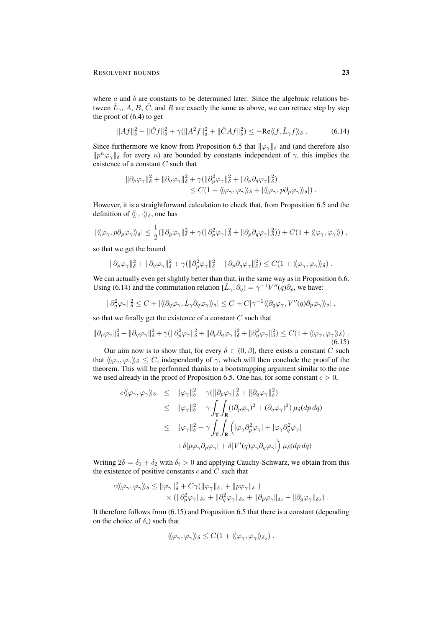where  $a$  and  $b$  are constants to be determined later. Since the algebraic relations between  $\hat{L}_{\gamma}$ , A, B,  $\hat{C}$ , and R are exactly the same as above, we can retrace step by step the proof of (6.4) to get

$$
||Af||_{\delta}^2 + ||\hat{C}f||_{\delta}^2 + \gamma(||A^2f||_{\delta}^2 + ||\hat{C}Af||_{\delta}^2) \le -\text{Re}\langle\langle f, \hat{L}_{\gamma}f \rangle\rangle_{\delta}.
$$
 (6.14)

Since furthermore we know from Proposition 6.5 that  $\|\varphi_{\gamma}\|_{\delta}$  and (and therefore also  $\|p^n\varphi_\gamma\|_\delta$  for every n) are bounded by constants independent of  $\gamma$ , this implies the existence of a constant C such that

$$
\begin{aligned} \|\partial_p\varphi_\gamma\|_\delta^2+\|\partial_q\varphi_\gamma\|_\delta^2+\gamma(\|\partial_p^2\varphi_\gamma\|_\delta^2+\|\partial_p\partial_q\varphi_\gamma\|_\delta^2) \\ &\leq C(1+\langle\!\langle\varphi_\gamma,\varphi_\gamma\rangle\!\rangle_\delta+\left|\langle\!\langle\varphi_\gamma,p\partial_p\varphi_\gamma\rangle\!\rangle_\delta\right|)\,. \end{aligned}
$$

However, it is a straightforward calculation to check that, from Proposition 6.5 and the definition of  $\langle\!\langle \cdot, \cdot \rangle\!\rangle_{\delta}$ , one has

$$
|\langle\!\langle\varphi_\gamma,p\partial_p\varphi_\gamma\rangle\!\rangle_\delta| \leq \frac{1}{2} ( \|\partial_p\varphi_\gamma\|_\delta^2 + \gamma( \|\partial_p^2\varphi_\gamma\|_\delta^2 + \|\partial_p\partial_q\varphi_\gamma\|_\delta^2) ) + C (1 + \langle\!\langle\varphi_\gamma,\varphi_\gamma\rangle\!\rangle) ,
$$

so that we get the bound

$$
\|\partial_p\varphi_\gamma\|_\delta^2 + \|\partial_q\varphi_\gamma\|_\delta^2 + \gamma(\|\partial_p^2\varphi_\gamma\|_\delta^2 + \|\partial_p\partial_q\varphi_\gamma\|_\delta^2) \leq C(1 + \langle\!\langle \varphi_\gamma, \varphi_\gamma \rangle\!\rangle_\delta).
$$

We can actually even get slightly better than that, in the same way as in Proposition 6.6. Using (6.14) and the commutation relation  $[\hat{L}_{\gamma}, \partial_q] = \gamma^{-1} V''(q) \partial_p$ , we have:

$$
\|\partial_q^2\varphi_\gamma\|_\delta^2 \leq C + |\langle \langle \partial_q \varphi_\gamma, \hat{L}_\gamma \partial_q \varphi_\gamma \rangle \rangle_\delta| \leq C + C|\gamma^{-1} \langle \langle \partial_q \varphi_\gamma, V''(q) \partial_p \varphi_\gamma \rangle \rangle_\delta|,
$$

so that we finally get the existence of a constant  $C$  such that

$$
\|\partial_p \varphi_\gamma\|_\delta^2 + \|\partial_q \varphi_\gamma\|_\delta^2 + \gamma (\|\partial_p^2 \varphi_\gamma\|_\delta^2 + \|\partial_p \partial_q \varphi_\gamma\|_\delta^2 + \|\partial_q^2 \varphi_\gamma\|_\delta^2) \le C(1 + \langle\langle \varphi_\gamma, \varphi_\gamma \rangle\rangle_\delta). \tag{6.15}
$$

Our aim now is to show that, for every  $\delta \in (0, \beta]$ , there exists a constant C such that  $\langle\langle \varphi_\gamma, \varphi_\gamma \rangle\rangle_\delta \leq C$ , independently of  $\gamma$ , which will then conclude the proof of the theorem. This will be performed thanks to a bootstrapping argument similar to the one we used already in the proof of Proposition 6.5. One has, for some constant  $c > 0$ ,

$$
c \langle \langle \varphi_{\gamma}, \varphi_{\gamma} \rangle \rangle_{\delta} \leq ||\varphi_{\gamma}||_{\delta}^{2} + \gamma(||\partial_{p}\varphi_{\gamma}||_{\delta}^{2} + ||\partial_{q}\varphi_{\gamma}||_{\delta}^{2})
$$
  
\n
$$
\leq ||\varphi_{\gamma}||_{\delta}^{2} + \gamma \int_{\mathbf{T}} \int_{\mathbf{R}} ((\partial_{p}\varphi_{\gamma})^{2} + (\partial_{q}\varphi_{\gamma})^{2}) \mu_{\delta}(dp dq)
$$
  
\n
$$
\leq ||\varphi_{\gamma}||_{\delta}^{2} + \gamma \int_{\mathbf{T}} \int_{\mathbf{R}} \left( |\varphi_{\gamma}\partial_{p}^{2}\varphi_{\gamma}| + |\varphi_{\gamma}\partial_{q}^{2}\varphi_{\gamma}| \right)
$$
  
\n
$$
+ \delta |p\varphi_{\gamma}\partial_{p}\varphi_{\gamma}| + \delta |V'(q)\varphi_{\gamma}\partial_{q}\varphi_{\gamma}| \right) \mu_{\delta}(dp dq)
$$

Writing  $2\delta = \delta_1 + \delta_2$  with  $\delta_i > 0$  and applying Cauchy-Schwarz, we obtain from this the existence of positive constants  $c$  and  $C$  such that

$$
c \langle \langle \varphi_{\gamma}, \varphi_{\gamma} \rangle \rangle_{\delta} \leq \|\varphi_{\gamma}\|_{\delta}^{2} + C\gamma(\|\varphi_{\gamma}\|_{\delta_{1}} + \|p\varphi_{\gamma}\|_{\delta_{1}})\times (\|\partial_{p}^{2}\varphi_{\gamma}\|_{\delta_{2}} + \|\partial_{q}^{2}\varphi_{\gamma}\|_{\delta_{2}} + \|\partial_{p}\varphi_{\gamma}\|_{\delta_{2}} + \|\partial_{q}\varphi_{\gamma}\|_{\delta_{2}}).
$$

It therefore follows from (6.15) and Proposition 6.5 that there is a constant (depending on the choice of  $\delta_i$ ) such that

$$
\langle\!\langle \varphi_\gamma, \varphi_\gamma \rangle\!\rangle_{\delta} \leq C(1 + \langle\!\langle \varphi_\gamma, \varphi_\gamma \rangle\!\rangle_{\delta_2}).
$$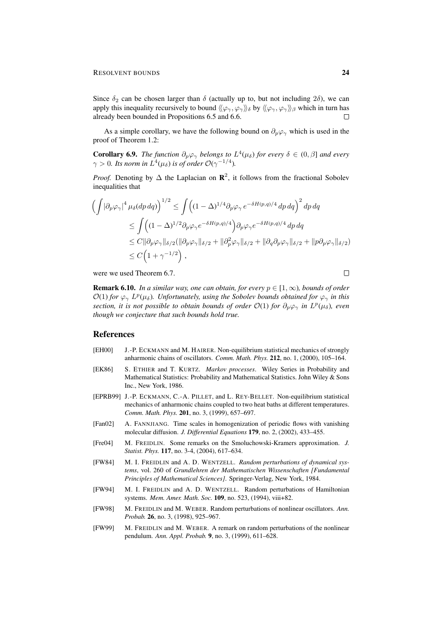Since  $\delta_2$  can be chosen larger than  $\delta$  (actually up to, but not including  $2\delta$ ), we can apply this inequality recursively to bound  $\langle\langle\varphi_\gamma,\varphi_\gamma\rangle\rangle_\delta$  by  $\langle\langle\varphi_\gamma,\varphi_\gamma\rangle\rangle_\beta$  which in turn has already been bounded in Propositions 6.5 and 6.6.  $\Box$ 

As a simple corollary, we have the following bound on  $\partial_p\varphi_\gamma$  which is used in the proof of Theorem 1.2:

**Corollary 6.9.** *The function*  $\partial_p \varphi_\gamma$  *belongs to*  $L^4(\mu_\delta)$  *for every*  $\delta \in (0, \beta]$  *and every*  $\gamma > 0$ *. Its norm in*  $L^4(\mu_\delta)$  *is of order*  $\mathcal{O}(\gamma^{-1/4})$ *.* 

*Proof.* Denoting by  $\Delta$  the Laplacian on  $\mathbb{R}^2$ , it follows from the fractional Sobolev inequalities that

$$
\left(\int |\partial_p \varphi_\gamma|^4 \mu_\delta (dp \, dq)\right)^{1/2} \le \int \left((1 - \Delta)^{1/4} \partial_p \varphi_\gamma e^{-\delta H(p,q)/4} \, dp \, dq\right)^2 \, dp \, dq
$$
  
\n
$$
\le \int \left((1 - \Delta)^{1/2} \partial_p \varphi_\gamma e^{-\delta H(p,q)/4}\right) \partial_p \varphi_\gamma e^{-\delta H(p,q)/4} \, dp \, dq
$$
  
\n
$$
\le C \|\partial_p \varphi_\gamma\|_{\delta/2} (\|\partial_p \varphi_\gamma\|_{\delta/2} + \|\partial_p^2 \varphi_\gamma\|_{\delta/2} + \|\partial_q \partial_p \varphi_\gamma\|_{\delta/2} + \|p \partial_p \varphi_\gamma\|_{\delta/2})
$$
  
\n
$$
\le C \left(1 + \gamma^{-1/2}\right),
$$

were we used Theorem 6.7.

**Remark 6.10.** *In a similar way, one can obtain, for every*  $p \in [1,\infty)$ *, bounds of order*  $\mathcal{O}(1)$  *for*  $\varphi_\gamma L^p(\mu_\delta)$ . Unfortunately, using the Sobolev bounds obtained for  $\varphi_\gamma$  in this *section, it is not possible to obtain bounds of order*  $\mathcal{O}(1)$  *for*  $\partial_p \varphi_\gamma$  *in*  $L^p(\mu_\delta)$ *, even though we conjecture that such bounds hold true.*

#### References

- [EH00] J.-P. ECKMANN and M. HAIRER. Non-equilibrium statistical mechanics of strongly anharmonic chains of oscillators. *Comm. Math. Phys.* 212, no. 1, (2000), 105–164.
- [EK86] S. ETHIER and T. KURTZ. *Markov processes*. Wiley Series in Probability and Mathematical Statistics: Probability and Mathematical Statistics. John Wiley & Sons Inc., New York, 1986.
- [EPRB99] J.-P. ECKMANN, C.-A. PILLET, and L. REY-BELLET. Non-equilibrium statistical mechanics of anharmonic chains coupled to two heat baths at different temperatures. *Comm. Math. Phys.* 201, no. 3, (1999), 657–697.
- [Fan02] A. FANNJIANG. Time scales in homogenization of periodic flows with vanishing molecular diffusion. *J. Differential Equations* 179, no. 2, (2002), 433–455.
- [Fre04] M. FREIDLIN. Some remarks on the Smoluchowski-Kramers approximation. *J. Statist. Phys.* 117, no. 3-4, (2004), 617–634.
- [FW84] M. I. FREIDLIN and A. D. WENTZELL. *Random perturbations of dynamical systems*, vol. 260 of *Grundlehren der Mathematischen Wissenschaften [Fundamental Principles of Mathematical Sciences]*. Springer-Verlag, New York, 1984.
- [FW94] M. I. FREIDLIN and A. D. WENTZELL. Random perturbations of Hamiltonian systems. *Mem. Amer. Math. Soc.* 109, no. 523, (1994), viii+82.
- [FW98] M. FREIDLIN and M. WEBER. Random perturbations of nonlinear oscillators. *Ann. Probab.* 26, no. 3, (1998), 925–967.
- [FW99] M. FREIDLIN and M. WEBER. A remark on random perturbations of the nonlinear pendulum. *Ann. Appl. Probab.* 9, no. 3, (1999), 611–628.

 $\Box$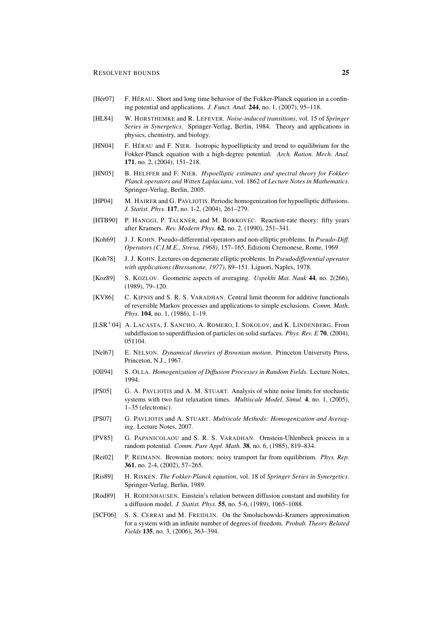- [Hér07] F. HÉRAU. Short and long time behavior of the Fokker-Planck equation in a confining potential and applications. *J. Funct. Anal.* 244, no. 1, (2007), 95–118.
- [HL84] W. HORSTHEMKE and R. LEFEVER. *Noise-induced transitions*, vol. 15 of *Springer Series in Synergetics*. Springer-Verlag, Berlin, 1984. Theory and applications in physics, chemistry, and biology.
- [HN04] F. HÉRAU and F. NIER. Isotropic hypoellipticity and trend to equilibrium for the Fokker-Planck equation with a high-degree potential. *Arch. Ration. Mech. Anal.* 171, no. 2, (2004), 151–218.
- [HN05] B. HELFFER and F. NIER. *Hypoelliptic estimates and spectral theory for Fokker-Planck operators and Witten Laplacians*, vol. 1862 of *Lecture Notes in Mathematics*. Springer-Verlag, Berlin, 2005.
- [HP04] M. HAIRER and G. PAVLIOTIS. Periodic homogenization for hypoelliptic diffusions. *J. Statist. Phys.* 117, no. 1-2, (2004), 261–279.
- [HTB90] P. HANGGI, P. TALKNER, and M. BORKOVEC. Reaction-rate theory: fifty years after Kramers. *Rev. Modern Phys.* 62, no. 2, (1990), 251–341.
- [Koh69] J. J. KOHN. Pseudo-differential operators and non-elliptic problems. In *Pseudo-Diff. Operators (C.I.M.E., Stresa, 1968)*, 157–165. Edizioni Cremonese, Rome, 1969.
- [Koh78] J. J. KOHN. Lectures on degenerate elliptic problems. In *Pseudodifferential operator with applications (Bressanone, 1977)*, 89–151. Liguori, Naples, 1978.
- [Koz89] S. KOZLOV. Geometric aspects of averaging. *Uspekhi Mat. Nauk* 44, no. 2(266), (1989), 79–120.
- [KV86] C. KIPNIS and S. R. S. VARADHAN. Central limit theorem for additive functionals of reversible Markov processes and applications to simple exclusions. *Comm. Math. Phys.* **104**, no. 1, (1986), 1-19.
- [LSR<sup>+</sup>04] A. LACASTA, J. SANCHO, A. ROMERO, I. SOKOLOV, and K. LINDENBERG. From subdiffusion to superdiffusion of particles on solid surfaces. *Phys. Rev. E* 70, (2004), 051104.
- [Nel67] E. NELSON. *Dynamical theories of Brownian motion*. Princeton University Press, Princeton, N.J., 1967.
- [Oll94] S. OLLA. *Homogenization of Diffusion Processes in Random Fields*. Lecture Notes, 1994.
- [PS05] G. A. PAVLIOTIS and A. M. STUART. Analysis of white noise limits for stochastic systems with two fast relaxation times. *Multiscale Model. Simul.* 4, no. 1, (2005), 1–35 (electronic).
- [PS07] G. PAVLIOTIS and A. STUART. *Multiscale Methods: Homogenization and Averaging*. Lecture Notes, 2007.
- [PV85] G. PAPANICOLAOU and S. R. S. VARADHAN. Ornstein-Uhlenbeck process in a random potential. *Comm. Pure Appl. Math.* 38, no. 6, (1985), 819–834.
- [Rei02] P. REIMANN. Brownian motors: noisy transport far from equilibrium. *Phys. Rep.* 361, no. 2-4, (2002), 57–265.
- [Ris89] H. RISKEN. *The Fokker-Planck equation*, vol. 18 of *Springer Series in Synergetics*. Springer-Verlag, Berlin, 1989.
- [Rod89] H. RODENHAUSEN. Einstein's relation between diffusion constant and mobility for a diffusion model. *J. Statist. Phys.* 55, no. 5-6, (1989), 1065–1088.
- [SCF06] S. S. CERRAI and M. FREIDLIN. On the Smoluchowski-Kramers approximation for a system with an infinite number of degrees of freedom. *Probab. Theory Related Fields* 135, no. 3, (2006), 363–394.